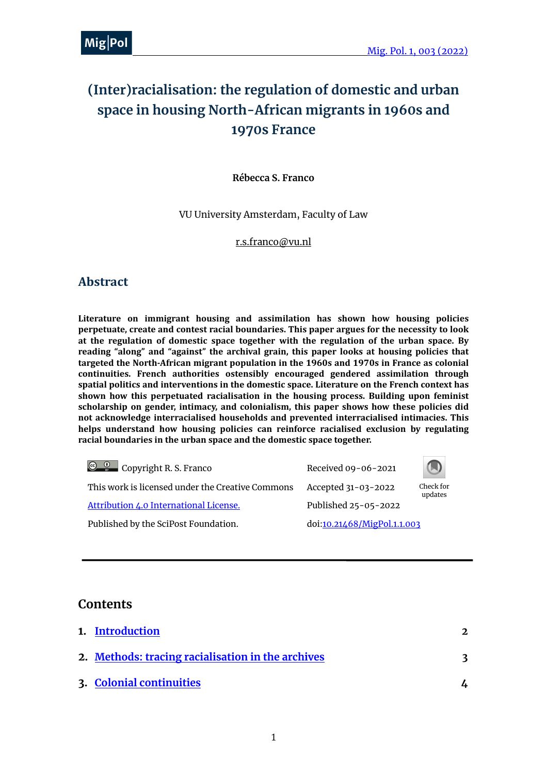## **(Inter)racialisation: the regulation of domestic and urban space in housing North-African migrants in 1960s and 1970s France**

**Rébecca S. Franco**

VU University Amsterdam, Faculty of Law

[r.s.franco@vu.nl](mailto:r.s.franco@vu.nl)

### **Abstract**

Literature on immigrant housing and assimilation has shown how housing policies **perpetuate, create and contest racial boundaries. This paper argues for the necessity to look** at the regulation of domestic space together with the regulation of the urban space. By reading "along" and "against" the archival grain, this paper looks at housing policies that targeted the North-African migrant population in the 1960s and 1970s in France as colonial continuities. French authorities ostensibly encouraged gendered assimilation through spatial politics and interventions in the domestic space. Literature on the French context has shown how this perpetuated racialisation in the housing process. Building upon feminist scholarship on gender, intimacy, and colonialism, this paper shows how these policies did not acknowledge interracialised households and prevented interracialised intimacies. This helps understand how housing policies can reinforce racialised exclusion by regulating racial boundaries in the urban space and the domestic space together.

| $\circledcirc$ $\circledcirc$ Copyright R. S. Franco | Received 09-06-2021         |                      |
|------------------------------------------------------|-----------------------------|----------------------|
| This work is licensed under the Creative Commons     | Accepted 31-03-2022         | Check for<br>updates |
| Attribution 4.0 International License.               | Published 25-05-2022        |                      |
| Published by the SciPost Foundation.                 | doi:10.21468/MigPol.1.1.003 |                      |

### **Contents**

| 1. Introduction                                   | $\mathcal{L}$ |
|---------------------------------------------------|---------------|
| 2. Methods: tracing racialisation in the archives | 3             |
| 3. Colonial continuities                          |               |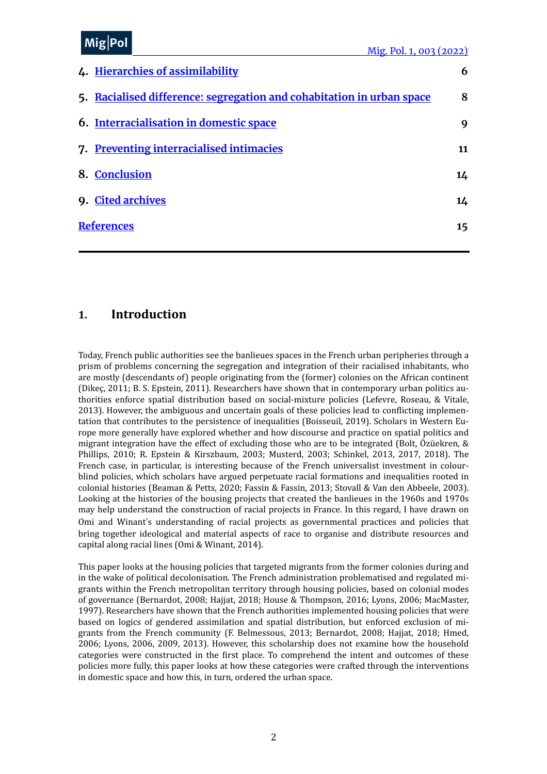#### MiolDr me<sub>l</sub>' <sup>or</sup>  $Mig|Pol$

| 4. Hierarchies of assimilability                                      |                 |  |
|-----------------------------------------------------------------------|-----------------|--|
| 5. Racialised difference: segregation and cohabitation in urban space | 8               |  |
| <b>6. Interracialisation in domestic space</b>                        | 9               |  |
| 7. Preventing interracialised intimacies                              | 11              |  |
| 8. Conclusion                                                         | 14              |  |
| 9. Cited archives                                                     | 14              |  |
| <b>References</b>                                                     | 15 <sub>1</sub> |  |
|                                                                       |                 |  |

### <span id="page-1-0"></span>**1. Introduction**

Today, French public authorities see the banlieues spaces in the French urban peripheries through a prism of problems concerning the segregation and integration of their racialised inhabitants, who are mostly (descendants of) people originating from the (former) colonies on the African continent (Dikec, 2011; B. S. Epstein, 2011). Researchers have shown that in contemporary urban politics authorities enforce spatial distribution based on social-mixture policies (Lefevre, Roseau, & Vitale, 2013). However, the ambiguous and uncertain goals of these policies lead to conflicting implementation that contributes to the persistence of inequalities (Boisseuil, 2019). Scholars in Western Europe more generally have explored whether and how discourse and practice on spatial politics and migrant integration have the effect of excluding those who are to be integrated (Bolt, Özüekren,  $\&$ Phillips, 2010; R. Epstein & Kirszbaum, 2003; Musterd, 2003; Schinkel, 2013, 2017, 2018). The French case, in particular, is interesting because of the French universalist investment in colourblind policies, which scholars have argued perpetuate racial formations and inequalities rooted in colonial histories (Beaman & Petts, 2020; Fassin & Fassin, 2013; Stovall & Van den Abbeele, 2003). Looking at the histories of the housing projects that created the banlieues in the 1960s and 1970s may help understand the construction of racial projects in France. In this regard, I have drawn on Omi and Winant's understanding of racial projects as governmental practices and policies that bring together ideological and material aspects of race to organise and distribute resources and capital along racial lines (Omi & Winant, 2014).

This paper looks at the housing policies that targeted migrants from the former colonies during and in the wake of political decolonisation. The French administration problematised and regulated migrants within the French metropolitan territory through housing policies, based on colonial modes of governance (Bernardot, 2008; Hajjat, 2018; House & Thompson, 2016; Lyons, 2006; MacMaster, 1997). Researchers have shown that the French authorities implemented housing policies that were based on logics of gendered assimilation and spatial distribution, but enforced exclusion of migrants from the French community (F. Belmessous, 2013; Bernardot, 2008; Hajjat, 2018; Hmed, 2006; Lyons, 2006, 2009, 2013). However, this scholarship does not examine how the household categories were constructed in the first place. To comprehend the intent and outcomes of these policies more fully, this paper looks at how these categories were crafted through the interventions in domestic space and how this, in turn, ordered the urban space.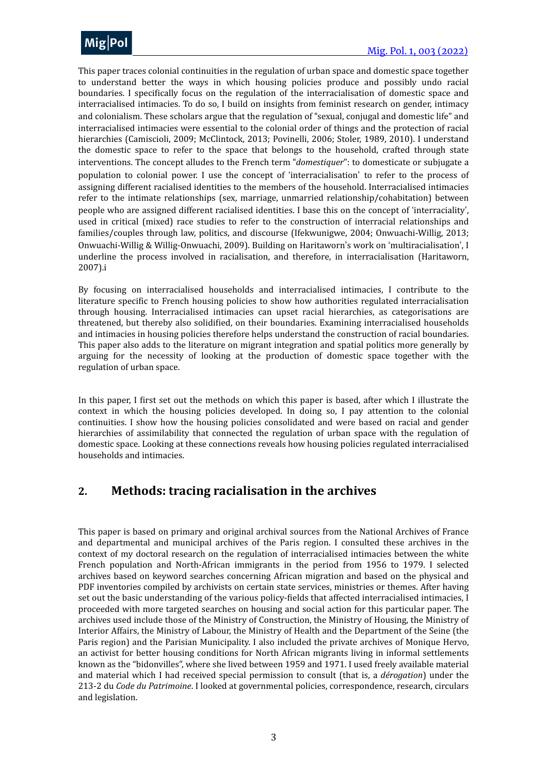

This paper traces colonial continuities in the regulation of urban space and domestic space together to understand better the ways in which housing policies produce and possibly undo racial boundaries. I specifically focus on the regulation of the interracialisation of domestic space and interracialised intimacies. To do so, I build on insights from feminist research on gender, intimacy and colonialism. These scholars argue that the regulation of "sexual, conjugal and domestic life" and interracialised intimacies were essential to the colonial order of things and the protection of racial hierarchies (Camiscioli, 2009; McClintock, 2013; Povinelli, 2006; Stoler, 1989, 2010). I understand the domestic space to refer to the space that belongs to the household, crafted through state interventions. The concept alludes to the French term "*domestiquer*": to domesticate or subjugate a population to colonial power. I use the concept of 'interracialisation' to refer to the process of assigning different racialised identities to the members of the household. Interracialised intimacies refer to the intimate relationships (sex, marriage, unmarried relationship/cohabitation) between people who are assigned different racialised identities. I base this on the concept of 'interraciality', used in critical (mixed) race studies to refer to the construction of interracial relationships and families/couples through law, politics, and discourse (Ifekwunigwe, 2004; Onwuachi-Willig, 2013; Onwuachi-Willig & Willig-Onwuachi, 2009). Building on Haritaworn's work on 'multiracialisation', I underline the process involved in racialisation, and therefore, in interracialisation (Haritaworn, 2007)[.i](#page-19-0)

<span id="page-2-1"></span>By focusing on interracialised households and interracialised intimacies, I contribute to the literature specific to French housing policies to show how authorities regulated interracialisation through housing. Interracialised intimacies can upset racial hierarchies, as categorisations are threatened, but thereby also solidified, on their boundaries. Examining interracialised households and intimacies in housing policies therefore helps understand the construction of racial boundaries. This paper also adds to the literature on migrant integration and spatial politics more generally by arguing for the necessity of looking at the production of domestic space together with the regulation of urban space.

In this paper, I first set out the methods on which this paper is based, after which I illustrate the context in which the housing policies developed. In doing so, I pay attention to the colonial continuities. I show how the housing policies consolidated and were based on racial and gender hierarchies of assimilability that connected the regulation of urban space with the regulation of domestic space. Looking at these connections reveals how housing policies regulated interracialised households and intimacies.

### <span id="page-2-0"></span>2. Methods: tracing racialisation in the archives

This paper is based on primary and original archival sources from the National Archives of France and departmental and municipal archives of the Paris region. I consulted these archives in the context of my doctoral research on the regulation of interracialised intimacies between the white French population and North-African immigrants in the period from 1956 to 1979. I selected archives based on keyword searches concerning African migration and based on the physical and PDF inventories compiled by archivists on certain state services, ministries or themes. After having set out the basic understanding of the various policy-fields that affected interracialised intimacies, I proceeded with more targeted searches on housing and social action for this particular paper. The archives used include those of the Ministry of Construction, the Ministry of Housing, the Ministry of Interior Affairs, the Ministry of Labour, the Ministry of Health and the Department of the Seine (the Paris region) and the Parisian Municipality. I also included the private archives of Monique Hervo, an activist for better housing conditions for North African migrants living in informal settlements known as the "bidonvilles", where she lived between 1959 and 1971. I used freely available material and material which I had received special permission to consult (that is, a *dérogation*) under the 213-2 du *Code du Patrimoine*. I looked at governmental policies, correspondence, research, circulars and legislation.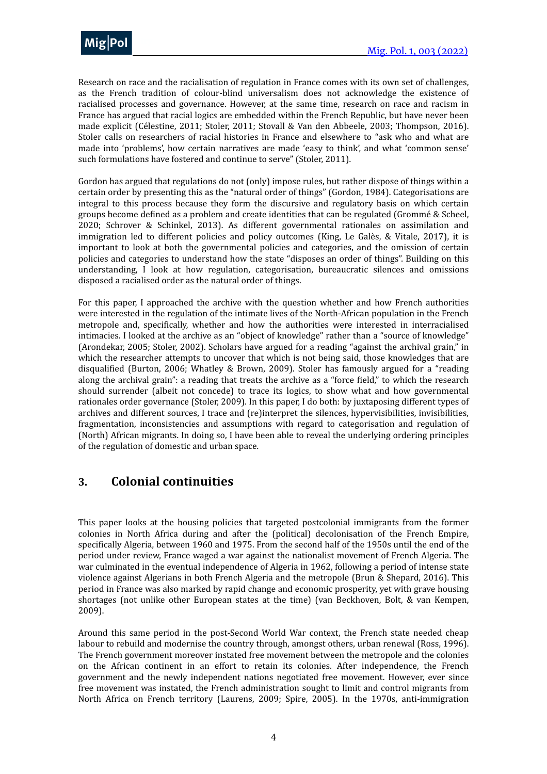Research on race and the racialisation of regulation in France comes with its own set of challenges, as the French tradition of colour-blind universalism does not acknowledge the existence of racialised processes and governance. However, at the same time, research on race and racism in France has argued that racial logics are embedded within the French Republic, but have never been made explicit (Célestine, 2011; Stoler, 2011; Stovall & Van den Abbeele, 2003; Thompson, 2016). Stoler calls on researchers of racial histories in France and elsewhere to "ask who and what are made into 'problems', how certain narratives are made 'easy to think', and what 'common sense' such formulations have fostered and continue to serve" (Stoler, 2011).

Gordon has argued that regulations do not (only) impose rules, but rather dispose of things within a certain order by presenting this as the "natural order of things" (Gordon, 1984). Categorisations are integral to this process because they form the discursive and regulatory basis on which certain groups become defined as a problem and create identities that can be regulated (Grommé & Scheel, 2020; Schrover & Schinkel, 2013). As different governmental rationales on assimilation and immigration led to different policies and policy outcomes (King, Le Galès, & Vitale, 2017), it is important to look at both the governmental policies and categories, and the omission of certain policies and categories to understand how the state "disposes an order of things". Building on this understanding, I look at how regulation, categorisation, bureaucratic silences and omissions disposed a racialised order as the natural order of things.

For this paper, I approached the archive with the question whether and how French authorities were interested in the regulation of the intimate lives of the North-African population in the French metropole and, specifically, whether and how the authorities were interested in interracialised intimacies. I looked at the archive as an "object of knowledge" rather than a "source of knowledge" (Arondekar, 2005; Stoler, 2002). Scholars have argued for a reading "against the archival grain," in which the researcher attempts to uncover that which is not being said, those knowledges that are disqualified (Burton, 2006; Whatley & Brown, 2009). Stoler has famously argued for a "reading along the archival grain": a reading that treats the archive as a "force field," to which the research should surrender (albeit not concede) to trace its logics, to show what and how governmental rationales order governance (Stoler, 2009). In this paper, I do both: by juxtaposing different types of archives and different sources, I trace and (re)interpret the silences, hypervisibilities, invisibilities, fragmentation, inconsistencies and assumptions with regard to categorisation and regulation of (North) African migrants. In doing so, I have been able to reveal the underlying ordering principles of the regulation of domestic and urban space.

### <span id="page-3-0"></span>**3. Colonial continuities**

This paper looks at the housing policies that targeted postcolonial immigrants from the former colonies in North Africa during and after the (political) decolonisation of the French Empire, specifically Algeria, between 1960 and 1975. From the second half of the 1950s until the end of the period under review, France waged a war against the nationalist movement of French Algeria. The war culminated in the eventual independence of Algeria in 1962, following a period of intense state violence against Algerians in both French Algeria and the metropole (Brun & Shepard, 2016). This period in France was also marked by rapid change and economic prosperity, yet with grave housing shortages (not unlike other European states at the time) (van Beckhoven, Bolt, & van Kempen, 2009).

Around this same period in the post-Second World War context, the French state needed cheap labour to rebuild and modernise the country through, amongst others, urban renewal (Ross, 1996). The French government moreover instated free movement between the metropole and the colonies on the African continent in an effort to retain its colonies. After independence, the French government and the newly independent nations negotiated free movement. However, ever since free movement was instated, the French administration sought to limit and control migrants from North Africa on French territory (Laurens, 2009; Spire, 2005). In the 1970s, anti-immigration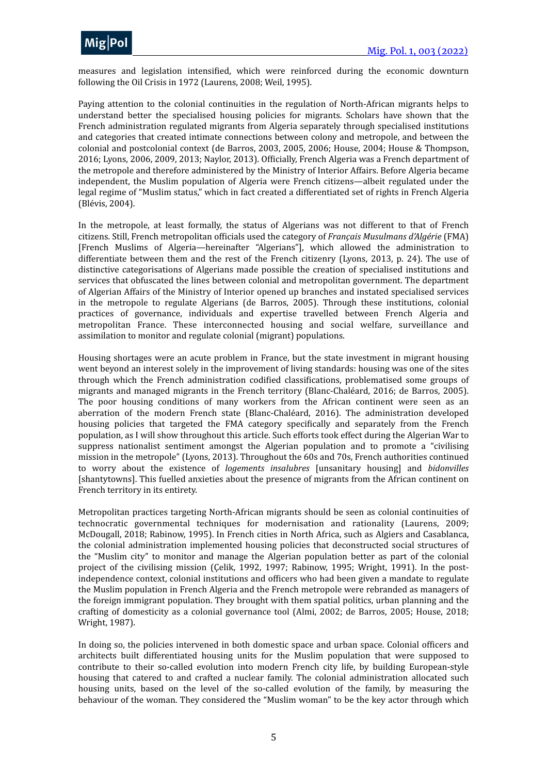

measures and legislation intensified, which were reinforced during the economic downturn following the Oil Crisis in 1972 (Laurens, 2008; Weil, 1995).

Paying attention to the colonial continuities in the regulation of North-African migrants helps to understand better the specialised housing policies for migrants. Scholars have shown that the French administration regulated migrants from Algeria separately through specialised institutions and categories that created intimate connections between colony and metropole, and between the colonial and postcolonial context (de Barros, 2003, 2005, 2006; House, 2004; House & Thompson, 2016; Lyons, 2006, 2009, 2013; Naylor, 2013). Officially, French Algeria was a French department of the metropole and therefore administered by the Ministry of Interior Affairs. Before Algeria became independent, the Muslim population of Algeria were French citizens—albeit regulated under the legal regime of "Muslim status," which in fact created a differentiated set of rights in French Algeria (Blévis, 2004).

In the metropole, at least formally, the status of Algerians was not different to that of French citizens. Still, French metropolitan officials used the category of *Français Musulmans d'Algérie* (FMA) [French Muslims of Algeria—hereinafter "Algerians"], which allowed the administration to differentiate between them and the rest of the French citizenry (Lyons, 2013, p. 24). The use of distinctive categorisations of Algerians made possible the creation of specialised institutions and services that obfuscated the lines between colonial and metropolitan government. The department of Algerian Affairs of the Ministry of Interior opened up branches and instated specialised services in the metropole to regulate Algerians (de Barros, 2005). Through these institutions, colonial practices of governance, individuals and expertise travelled between French Algeria and metropolitan France. These interconnected housing and social welfare, surveillance and assimilation to monitor and regulate colonial (migrant) populations.

Housing shortages were an acute problem in France, but the state investment in migrant housing went beyond an interest solely in the improvement of living standards: housing was one of the sites through which the French administration codified classifications, problematised some groups of migrants and managed migrants in the French territory (Blanc-Chaléard, 2016; de Barros, 2005). The poor housing conditions of many workers from the African continent were seen as an aberration of the modern French state (Blanc-Chaléard, 2016). The administration developed housing policies that targeted the FMA category specifically and separately from the French population, as I will show throughout this article. Such efforts took effect during the Algerian War to suppress nationalist sentiment amongst the Algerian population and to promote a "civilising mission in the metropole" (Lyons, 2013). Throughout the 60s and 70s, French authorities continued to worry about the existence of *logements* insalubres [unsanitary housing] and *bidonvilles* [shantytowns]. This fuelled anxieties about the presence of migrants from the African continent on French territory in its entirety.

Metropolitan practices targeting North-African migrants should be seen as colonial continuities of technocratic governmental techniques for modernisation and rationality (Laurens, 2009; McDougall, 2018; Rabinow, 1995). In French cities in North Africa, such as Algiers and Casablanca, the colonial administration implemented housing policies that deconstructed social structures of the "Muslim city" to monitor and manage the Algerian population better as part of the colonial project of the civilising mission (Çelik, 1992, 1997; Rabinow, 1995; Wright, 1991). In the postindependence context, colonial institutions and officers who had been given a mandate to regulate the Muslim population in French Algeria and the French metropole were rebranded as managers of the foreign immigrant population. They brought with them spatial politics, urban planning and the crafting of domesticity as a colonial governance tool (Almi, 2002; de Barros, 2005; House, 2018; Wright, 1987).

In doing so, the policies intervened in both domestic space and urban space. Colonial officers and architects built differentiated housing units for the Muslim population that were supposed to contribute to their so-called evolution into modern French city life, by building European-style housing that catered to and crafted a nuclear family. The colonial administration allocated such housing units, based on the level of the so-called evolution of the family, by measuring the behaviour of the woman. They considered the "Muslim woman" to be the key actor through which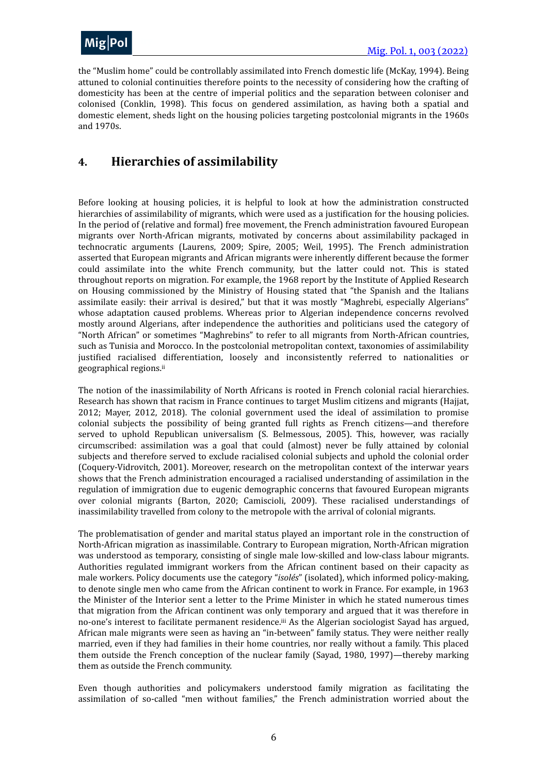

the "Muslim home" could be controllably assimilated into French domestic life (McKay, 1994). Being attuned to colonial continuities therefore points to the necessity of considering how the crafting of domesticity has been at the centre of imperial politics and the separation between coloniser and colonised (Conklin, 1998). This focus on gendered assimilation, as having both a spatial and domestic element, sheds light on the housing policies targeting postcolonial migrants in the 1960s and 1970s.

### <span id="page-5-0"></span>**4. Hierarchies of assimilability**

Before looking at housing policies, it is helpful to look at how the administration constructed hierarchies of assimilability of migrants, which were used as a justification for the housing policies. In the period of (relative and formal) free movement, the French administration favoured European migrants over North-African migrants, motivated by concerns about assimilability packaged in technocratic arguments (Laurens, 2009; Spire, 2005; Weil, 1995). The French administration asserted that European migrants and African migrants were inherently different because the former could assimilate into the white French community, but the latter could not. This is stated throughout reports on migration. For example, the 1968 report by the Institute of Applied Research on Housing commissioned by the Ministry of Housing stated that "the Spanish and the Italians assimilate easily: their arrival is desired," but that it was mostly "Maghrebi, especially Algerians" whose adaptation caused problems. Whereas prior to Algerian independence concerns revolved mostly around Algerians, after independence the authorities and politicians used the category of "North African" or sometimes "Maghrebins" to refer to all migrants from North-African countries, such as Tunisia and Morocco. In the postcolonial metropolitan context, taxonomies of assimilability justified racialised differentiation, loosely and inconsistently referred to nationalities or geographical regions.<sup>[ii](#page-19-1)</sup>

<span id="page-5-1"></span>The notion of the inassimilability of North Africans is rooted in French colonial racial hierarchies. Research has shown that racism in France continues to target Muslim citizens and migrants (Hajjat, 2012; Mayer, 2012, 2018). The colonial government used the ideal of assimilation to promise colonial subjects the possibility of being granted full rights as French citizens—and therefore served to uphold Republican universalism (S. Belmessous, 2005). This, however, was racially circumscribed: assimilation was a goal that could (almost) never be fully attained by colonial subjects and therefore served to exclude racialised colonial subjects and uphold the colonial order (Coquery-Vidrovitch, 2001). Moreover, research on the metropolitan context of the interwar years shows that the French administration encouraged a racialised understanding of assimilation in the regulation of immigration due to eugenic demographic concerns that favoured European migrants over colonial migrants (Barton, 2020; Camiscioli, 2009). These racialised understandings of inassimilability travelled from colony to the metropole with the arrival of colonial migrants.

The problematisation of gender and marital status played an important role in the construction of North-African migration as inassimilable. Contrary to European migration, North-African migration was understood as temporary, consisting of single male low-skilled and low-class labour migrants. Authorities regulated immigrant workers from the African continent based on their capacity as male workers. Policy documents use the category "*isolés*" (isolated), which informed policy-making, to denote single men who came from the African continent to work in France. For example, in 1963 the Minister of the Interior sent a letter to the Prime Minister in which he stated numerous times that migration from the African continent was only temporary and argued that it was therefore in no-one's interest to facilitate permanent residence.<sup>[iii](#page-19-2)</sup> As the Algerian sociologist Sayad has argued, African male migrants were seen as having an "in-between" family status. They were neither really married, even if they had families in their home countries, nor really without a family. This placed them outside the French conception of the nuclear family (Sayad, 1980, 1997)—thereby marking them as outside the French community.

<span id="page-5-2"></span>Even though authorities and policymakers understood family migration as facilitating the assimilation of so-called "men without families," the French administration worried about the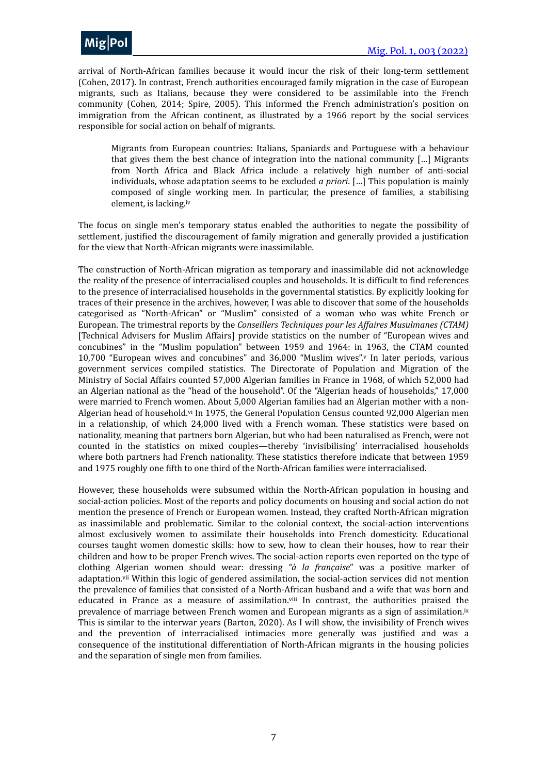

arrival of North-African families because it would incur the risk of their long-term settlement (Cohen, 2017). In contrast, French authorities encouraged family migration in the case of European migrants, such as Italians, because they were considered to be assimilable into the French community (Cohen, 2014; Spire, 2005). This informed the French administration's position on immigration from the African continent, as illustrated by a 1966 report by the social services responsible for social action on behalf of migrants.

<span id="page-6-0"></span>Migrants from European countries: Italians, Spaniards and Portuguese with a behaviour that gives them the best chance of integration into the national community  $\lceil \ldots \rceil$  Migrants from North Africa and Black Africa include a relatively high number of anti-social individuals, whose adaptation seems to be excluded *a priori*. [...] This population is mainly composed of single working men. In particular, the presence of families, a stabilising element, is lacking.[iv](#page-19-3)

The focus on single men's temporary status enabled the authorities to negate the possibility of settlement, justified the discouragement of family migration and generally provided a justification for the view that North-African migrants were inassimilable.

<span id="page-6-1"></span>The construction of North-African migration as temporary and inassimilable did not acknowledge the reality of the presence of interracialised couples and households. It is difficult to find references to the presence of interracialised households in the governmental statistics. By explicitly looking for traces of their presence in the archives, however, I was able to discover that some of the households categorised as "North-African" or "Muslim" consisted of a woman who was white French or European. The trimestral reports by the *Conseillers Techniques pour les Affaires Musulmanes (CTAM)* [Technical Advisers for Muslim Affairs] provide statistics on the number of "European wives and concubines" in the "Muslim population" between 1959 and 1964: in 1963, the CTAM counted 10,700 "European wi[v](#page-19-4)es and concubines" and 36,000 "Muslim wives". In later periods, various government services compiled statistics. The Directorate of Population and Migration of the Ministry of Social Affairs counted 57,000 Algerian families in France in 1968, of which 52,000 had an Algerian national as the "head of the household". Of the "Algerian heads of households," 17,000 were married to French women. About 5,000 Algerian families had an Algerian mother with a nonAlgerian head of household.<sup>[vi](#page-20-0)</sup> In 1975, the General Population Census counted 92,000 Algerian men in a relationship, of which 24,000 lived with a French woman. These statistics were based on nationality, meaning that partners born Algerian, but who had been naturalised as French, were not counted in the statistics on mixed couples—thereby 'invisibilising' interracialised households where both partners had French nationality. These statistics therefore indicate that between 1959 and 1975 roughly one fifth to one third of the North-African families were interracialised.

<span id="page-6-5"></span><span id="page-6-4"></span><span id="page-6-3"></span><span id="page-6-2"></span>However, these households were subsumed within the North-African population in housing and social-action policies. Most of the reports and policy documents on housing and social action do not mention the presence of French or European women. Instead, they crafted North-African migration as inassimilable and problematic. Similar to the colonial context, the social-action interventions almost exclusively women to assimilate their households into French domesticity. Educational courses taught women domestic skills: how to sew, how to clean their houses, how to rear their children and how to be proper French wives. The social-action reports even reported on the type of clothing Algerian women should wear: dressing "à la française" was a positive marker of adaptation.<sup>[vii](#page-20-1)</sup> Within this logic of gendered assimilation, the social-action services did not mention the prevalence of families that consisted of a North-African husband and a wife that was born and educated in France as a measure of assimilation. $v<sup>iii</sup>$  In contrast, the authorities praised the prevalence of marriage between French women and European migrants as a sign of assimilation.<sup>[ix](#page-20-3)</sup> This is similar to the interwar years (Barton, 2020). As I will show, the invisibility of French wives and the prevention of interracialised intimacies more generally was justified and was a consequence of the institutional differentiation of North-African migrants in the housing policies and the separation of single men from families.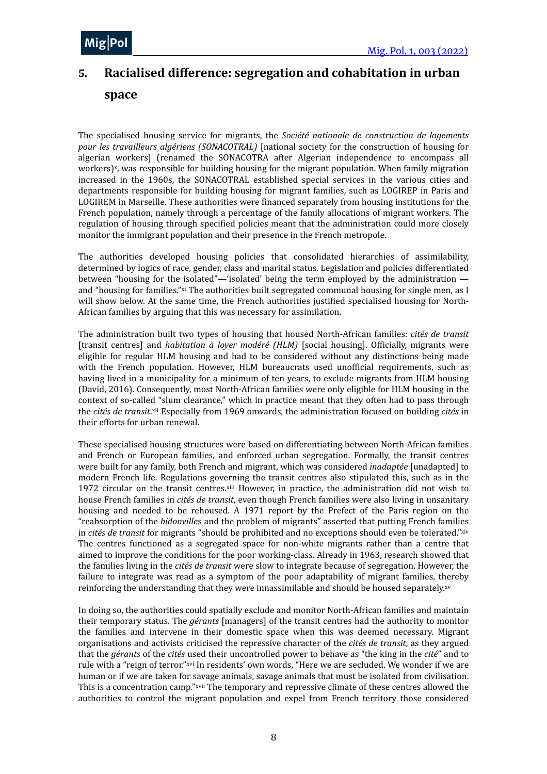# <span id="page-7-0"></span>**5.** Racialised difference: segregation and cohabitation in urban **space**

<span id="page-7-1"></span>The specialised housing service for migrants, the *Société nationale de construction de logements pour les travailleurs algériens (SONACOTRAL)* [national society for the construction of housing for algerian workers] (renamed the SONACOTRA after Algerian independence to encompass all workers)<sup>[x](#page-20-4)</sup>, was responsible for building housing for the migrant population. When family migration increased in the 1960s, the SONACOTRAL established special services in the various cities and departments responsible for building housing for migrant families, such as LOGIREP in Paris and LOGIREM in Marseille. These authorities were financed separately from housing institutions for the French population, namely through a percentage of the family allocations of migrant workers. The regulation of housing through specified policies meant that the administration could more closely monitor the immigrant population and their presence in the French metropole.

<span id="page-7-2"></span>The authorities developed housing policies that consolidated hierarchies of assimilability, determined by logics of race, gender, class and marital status. Legislation and policies differentiated between "housing for the isolated"—'isolated' being the term employed by the administration and "housing for families." [xi](#page-20-5) The authorities built segregated communal housing for single men, as I will show below. At the same time, the French authorities justified specialised housing for North-African families by arguing that this was necessary for assimilation.

The administration built two types of housing that housed North-African families: *cités de transit* [transit centres] and *habitation à loyer modéré (HLM)* [social housing]. Officially, migrants were eligible for regular HLM housing and had to be considered without any distinctions being made with the French population. However, HLM bureaucrats used unofficial requirements, such as having lived in a municipality for a minimum of ten years, to exclude migrants from HLM housing (David, 2016). Consequently, most North-African families were only eligible for HLM housing in the context of so-called "slum clearance." which in practice meant that they often had to pass through the *cités de transit*. *[xii](#page-20-6)* Especially from 1969 onwards, the administration focused on building *cités* in their efforts for urban renewal.

<span id="page-7-4"></span><span id="page-7-3"></span>These specialised housing structures were based on differentiating between North-African families and French or European families, and enforced urban segregation. Formally, the transit centres were built for any family, both French and migrant, which was considered *inadaptée* [unadapted] to modern French life. Regulations governing the transit centres also stipulated this, such as in the 1972 circular on the transit centres. $x$ iii However, in practice, the administration did not wish to house French families in *cités de transit*, even though French families were also living in unsanitary housing and needed to be rehoused. A 1971 report by the Prefect of the Paris region on the "reabsorption of the *bidonvilles* and the problem of migrants" asserted that putting French families in *cités de transit* for migrants "should be prohibited and no exceptions should even be tolerated."[xiv](#page-20-8) The centres functioned as a segregated space for non-white migrants rather than a centre that aimed to improve the conditions for the poor working-class. Already in 1963, research showed that the families living in the *cités de transit* were slow to integrate because of segregation. However, the failure to integrate was read as a symptom of the poor adaptability of migrant families, thereby reinforcing the understanding that they were innassimilable and should be housed separately.[xv](#page-20-9)

<span id="page-7-8"></span><span id="page-7-7"></span><span id="page-7-6"></span><span id="page-7-5"></span>In doing so, the authorities could spatially exclude and monitor North-African families and maintain their temporary status. The *gérants* [managers] of the transit centres had the authority to monitor the families and intervene in their domestic space when this was deemed necessary. Migrant organisations and activists criticised the repressive character of the *cités de transit*, as they argued that the *gérants* of the *cités* used their uncontrolled power to behave as "the king in the *cité*" and to rule with a "reign of terror." [xvi](#page-20-10) In residents' own words, "Here we are secluded. We wonder if we are human or if we are taken for savage animals, savage animals that must be isolated from civilisation. This is a concentration camp." [xvii](#page-20-11) The temporary and repressive climate of these centres allowed the authorities to control the migrant population and expel from French territory those considered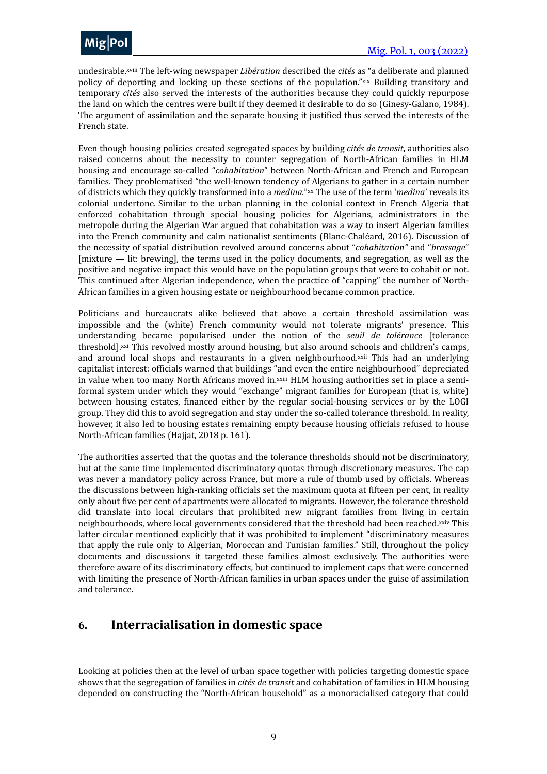

<span id="page-8-2"></span><span id="page-8-1"></span>undesirable.<sup>[xviii](#page-20-12)</sup> The left-wing newspaper *Libération* described the cités as "a deliberate and planned policy of deporting and locking up these sections of the population."  $\frac{d}{dx}$  Building transitory and temporary *cités* also served the interests of the authorities because they could quickly repurpose the land on which the centres were built if they deemed it desirable to do so (Ginesy-Galano, 1984). The argument of assimilation and the separate housing it justified thus served the interests of the French state.

<span id="page-8-3"></span>Even though housing policies created segregated spaces by building *cités de transit*, authorities also raised concerns about the necessity to counter segregation of North-African families in HLM housing and encourage so-called "cohabitation" between North-African and French and European families. They problematised "the well-known tendency of Algerians to gather in a certain number of districts which they quickly transformed into a *medina."* [xx](#page-20-14) The use of the term '*medina'* reveals its colonial undertone. Similar to the urban planning in the colonial context in French Algeria that enforced cohabitation through special housing policies for Algerians, administrators in the metropole during the Algerian War argued that cohabitation was a way to insert Algerian families into the French community and calm nationalist sentiments (Blanc-Chaléard, 2016). Discussion of the necessity of spatial distribution revolved around concerns about "*cohabitation*" and "*brassage*"  $[$ mixture  $-$  lit: brewing], the terms used in the policy documents, and segregation, as well as the positive and negative impact this would have on the population groups that were to cohabit or not. This continued after Algerian independence, when the practice of "capping" the number of North-African families in a given housing estate or neighbourhood became common practice.

<span id="page-8-6"></span><span id="page-8-5"></span><span id="page-8-4"></span>Politicians and bureaucrats alike believed that above a certain threshold assimilation was impossible and the (white) French community would not tolerate migrants' presence. This understanding became popularised under the notion of the *seuil de tolérance* [tolerance threshold].<sup>[xxi](#page-20-15)</sup> This revolved mostly around housing, but also around schools and children's camps, and around local shops and restaurants in a given neighbourhood. $x$  This had an underlying capitalist interest: officials warned that buildings "and even the entire neighbourhood" depreciated in value when too many North Africans moved in.<sup>[xxiii](#page-21-0)</sup> HLM housing authorities set in place a semiformal system under which they would "exchange" migrant families for European (that is, white) between housing estates, financed either by the regular social-housing services or by the LOGI group. They did this to avoid segregation and stay under the so-called tolerance threshold. In reality, however, it also led to housing estates remaining empty because housing officials refused to house North-African families (Hajjat, 2018 p. 161).

<span id="page-8-7"></span>The authorities asserted that the quotas and the tolerance thresholds should not be discriminatory, but at the same time implemented discriminatory quotas through discretionary measures. The cap was never a mandatory policy across France, but more a rule of thumb used by officials. Whereas the discussions between high-ranking officials set the maximum quota at fifteen per cent, in reality only about five per cent of apartments were allocated to migrants. However, the tolerance threshold did translate into local circulars that prohibited new migrant families from living in certain neighbourhoods, where local governments considered that the threshold had been reached. [xxiv](#page-21-1) This latter circular mentioned explicitly that it was prohibited to implement "discriminatory measures that apply the rule only to Algerian, Moroccan and Tunisian families." Still, throughout the policy documents and discussions it targeted these families almost exclusively. The authorities were therefore aware of its discriminatory effects, but continued to implement caps that were concerned with limiting the presence of North-African families in urban spaces under the guise of assimilation and tolerance.

### <span id="page-8-0"></span>**6. Interracialisation in domestic space**

Looking at policies then at the level of urban space together with policies targeting domestic space shows that the segregation of families in *cités de transit* and cohabitation of families in HLM housing depended on constructing the "North-African household" as a monoracialised category that could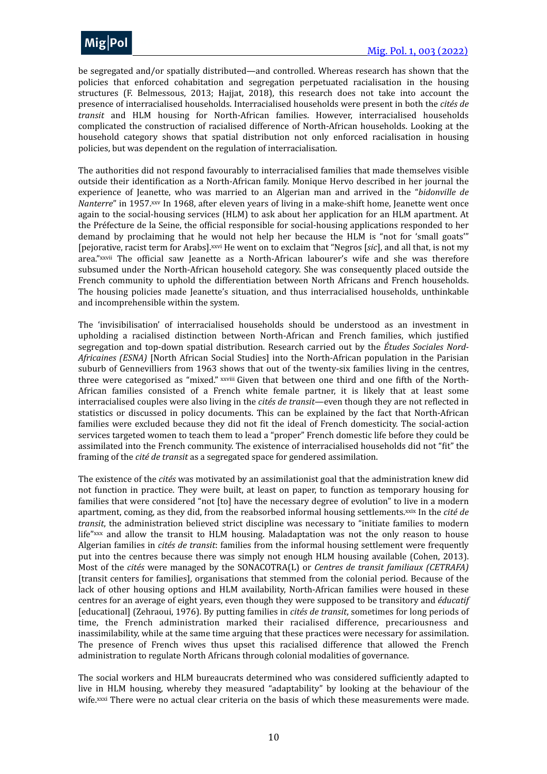

be segregated and/or spatially distributed—and controlled. Whereas research has shown that the policies that enforced cohabitation and segregation perpetuated racialisation in the housing structures (F. Belmessous, 2013; Hajjat, 2018), this research does not take into account the presence of interracialised households. Interracialised households were present in both the *cités de transit* and HLM housing for North-African families. However, interracialised households complicated the construction of racialised difference of North-African households. Looking at the household category shows that spatial distribution not only enforced racialisation in housing policies, but was dependent on the regulation of interracialisation.

<span id="page-9-1"></span><span id="page-9-0"></span>The authorities did not respond favourably to interracialised families that made themselves visible outside their identification as a North-African family. Monique Hervo described in her journal the experience of Jeanette, who was married to an Algerian man and arrived in the "bidonville de *Nanterre*" in 1957. *[xxv](#page-21-2)* In 1968, after eleven years of living in a make-shift home, Jeanette went once again to the social-housing services (HLM) to ask about her application for an HLM apartment. At the Préfecture de la Seine, the official responsible for social-housing applications responded to her demand by proclaiming that he would not help her because the HLM is "not for 'small goats'" [pejorative, racist term for Arabs]. *[xxvi](#page-21-3)* He went on to exclaim that "Negros [*sic*], and all that, is not my area." [xxvii](#page-21-4) The official saw Jeanette as a North-African labourer's wife and she was therefore subsumed under the North-African household category. She was consequently placed outside the French community to uphold the differentiation between North Africans and French households. The housing policies made Jeanette's situation, and thus interracialised households, unthinkable and incomprehensible within the system.

<span id="page-9-3"></span><span id="page-9-2"></span>The 'invisibilisation' of interracialised households should be understood as an investment in upholding a racialised distinction between North-African and French families, which justified segregation and top-down spatial distribution. Research carried out by the Études Sociales Nord-*Africaines (ESNA)* [North African Social Studies] into the North-African population in the Parisian suburb of Gennevilliers from 1963 shows that out of the twenty-six families living in the centres, three were categorised as "mixed." [xxviii](#page-21-5) Given that between one third and one fifth of the North-African families consisted of a French white female partner, it is likely that at least some interracialised couples were also living in the *cités de transit*—even though they are not reflected in statistics or discussed in policy documents. This can be explained by the fact that North-African families were excluded because they did not fit the ideal of French domesticity. The social-action services targeted women to teach them to lead a "proper" French domestic life before they could be assimilated into the French community. The existence of interracialised households did not "fit" the framing of the *cité de transit* as a segregated space for gendered assimilation.

<span id="page-9-5"></span><span id="page-9-4"></span>The existence of the *cités* was motivated by an assimilationist goal that the administration knew did not function in practice. They were built, at least on paper, to function as temporary housing for families that were considered "not [to] have the necessary degree of evolution" to live in a modern apartment, coming, as they did, from the reabsorbed informal housing settlements. [xxix](#page-21-6) In the *cité de transit*, the administration believed strict discipline was necessary to "initiate families to modern life"  $\bf x$  and allow the transit to HLM housing. Maladaptation was not the only reason to house Algerian families in *cités de transit*: families from the informal housing settlement were frequently put into the centres because there was simply not enough HLM housing available (Cohen, 2013). Most of the *cités* were managed by the SONACOTRA(L) or *Centres de transit familiaux (CETRAFA)* [transit centers for families], organisations that stemmed from the colonial period. Because of the lack of other housing options and HLM availability, North-African families were housed in these centres for an average of eight years, even though they were supposed to be transitory and *éducatif* [educational] (Zehraoui, 1976). By putting families in *cités de transit*, sometimes for long periods of time, the French administration marked their racialised difference, precariousness and inassimilability, while at the same time arguing that these practices were necessary for assimilation. The presence of French wives thus upset this racialised difference that allowed the French administration to regulate North Africans through colonial modalities of governance.

<span id="page-9-6"></span>The social workers and HLM bureaucrats determined who was considered sufficiently adapted to live in HLM housing, whereby they measured "adaptability" by looking at the behaviour of the wife. [xxxi](#page-21-8) There were no actual clear criteria on the basis of which these measurements were made.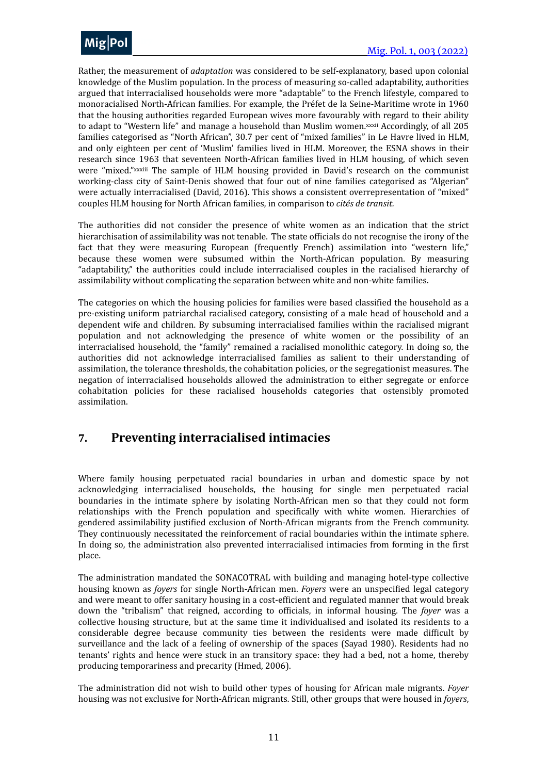

<span id="page-10-1"></span>Rather, the measurement of *adaptation* was considered to be self-explanatory, based upon colonial knowledge of the Muslim population. In the process of measuring so-called adaptability, authorities argued that interracialised households were more "adaptable" to the French lifestyle, compared to monoracialised North-African families. For example, the Préfet de la Seine-Maritime wrote in 1960 that the housing authorities regarded European wives more favourably with regard to their ability to adapt to "Western life" and manage a household than Muslim women. *[xxxii](#page-21-9)* Accordingly, of all 205 families categorised as "North African", 30.7 per cent of "mixed families" in Le Havre lived in HLM, and only eighteen per cent of 'Muslim' families lived in HLM. Moreover, the ESNA shows in their research since 1963 that seventeen North-African families lived in HLM housing, of which seven were "mixed." [xxxiii](#page-21-10) The sample of HLM housing provided in David's research on the communist working-class city of Saint-Denis showed that four out of nine families categorised as "Algerian" were actually interracialised (David, 2016). This shows a consistent overrepresentation of "mixed" couples HLM housing for North African families, in comparison to *cités de transit.* 

<span id="page-10-2"></span>The authorities did not consider the presence of white women as an indication that the strict hierarchisation of assimilability was not tenable. The state officials do not recognise the irony of the fact that they were measuring European (frequently French) assimilation into "western life," because these women were subsumed within the North-African population. By measuring "adaptability," the authorities could include interracialised couples in the racialised hierarchy of assimilability without complicating the separation between white and non-white families.

The categories on which the housing policies for families were based classified the household as a pre-existing uniform patriarchal racialised category, consisting of a male head of household and a dependent wife and children. By subsuming interracialised families within the racialised migrant population and not acknowledging the presence of white women or the possibility of an interracialised household, the "family" remained a racialised monolithic category. In doing so, the authorities did not acknowledge interracialised families as salient to their understanding of assimilation, the tolerance thresholds, the cohabitation policies, or the segregationist measures. The negation of interracialised households allowed the administration to either segregate or enforce cohabitation policies for these racialised households categories that ostensibly promoted assimilation.

### <span id="page-10-0"></span>**7. Preventing interracialised intimacies**

Where family housing perpetuated racial boundaries in urban and domestic space by not acknowledging interracialised households, the housing for single men perpetuated racial boundaries in the intimate sphere by isolating North-African men so that they could not form relationships with the French population and specifically with white women. Hierarchies of gendered assimilability justified exclusion of North-African migrants from the French community. They continuously necessitated the reinforcement of racial boundaries within the intimate sphere. In doing so, the administration also prevented interracialised intimacies from forming in the first place.

The administration mandated the SONACOTRAL with building and managing hotel-type collective housing known as *foyers* for single North-African men. *Foyers* were an unspecified legal category and were meant to offer sanitary housing in a cost-efficient and regulated manner that would break down the "tribalism" that reigned, according to officials, in informal housing. The *foyer* was a collective housing structure, but at the same time it individualised and isolated its residents to a considerable degree because community ties between the residents were made difficult by surveillance and the lack of a feeling of ownership of the spaces (Sayad 1980). Residents had no tenants' rights and hence were stuck in an transitory space: they had a bed, not a home, thereby producing temporariness and precarity (Hmed, 2006).

The administration did not wish to build other types of housing for African male migrants. *Foyer* housing was not exclusive for North-African migrants. Still, other groups that were housed in *foyers*,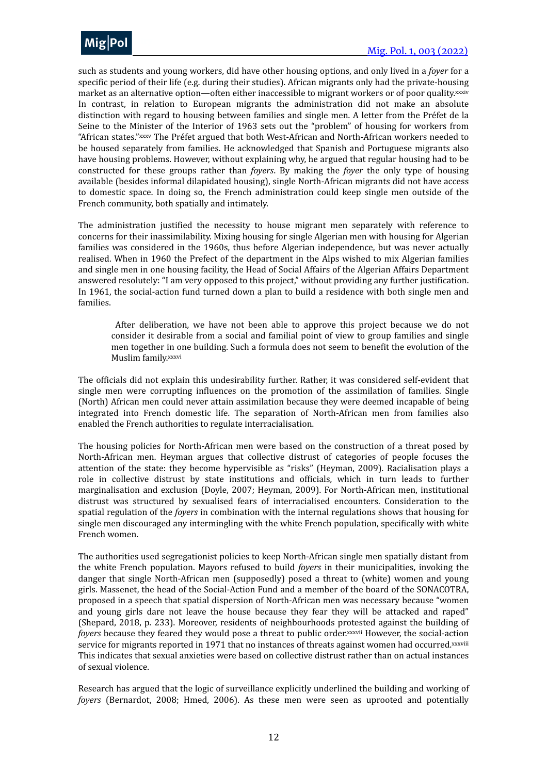

<span id="page-11-1"></span><span id="page-11-0"></span>such as students and young workers, did have other housing options, and only lived in a *foyer* for a specific period of their life (e.g. during their studies). African migrants only had the private-housing market as an alternative option—often either inaccessible to migrant workers or of poor quality[.xxxiv](#page-21-11) In contrast, in relation to European migrants the administration did not make an absolute distinction with regard to housing between families and single men. A letter from the Préfet de la Seine to the Minister of the Interior of 1963 sets out the "problem" of housing for workers from "African states." [xxxv](#page-21-12) The Préfet argued that both West-African and North-African workers needed to be housed separately from families. He acknowledged that Spanish and Portuguese migrants also have housing problems. However, without explaining why, he argued that regular housing had to be constructed for these groups rather than *foyers*. By making the *foyer* the only type of housing available (besides informal dilapidated housing), single North-African migrants did not have access to domestic space. In doing so, the French administration could keep single men outside of the French community, both spatially and intimately.

The administration justified the necessity to house migrant men separately with reference to concerns for their inassimilability. Mixing housing for single Algerian men with housing for Algerian families was considered in the 1960s, thus before Algerian independence, but was never actually realised. When in 1960 the Prefect of the department in the Alps wished to mix Algerian families and single men in one housing facility, the Head of Social Affairs of the Algerian Affairs Department answered resolutely: "I am very opposed to this project," without providing any further justification. In 1961, the social-action fund turned down a plan to build a residence with both single men and families.

<span id="page-11-2"></span>After deliberation, we have not been able to approve this project because we do not consider it desirable from a social and familial point of view to group families and single men together in one building. Such a formula does not seem to benefit the evolution of the Muslim family.[xxxvi](#page-21-13)

The officials did not explain this undesirability further. Rather, it was considered self-evident that single men were corrupting influences on the promotion of the assimilation of families. Single (North) African men could never attain assimilation because they were deemed incapable of being integrated into French domestic life. The separation of North-African men from families also enabled the French authorities to regulate interracialisation.

The housing policies for North-African men were based on the construction of a threat posed by North-African men. Heyman argues that collective distrust of categories of people focuses the attention of the state: they become hypervisible as "risks" (Heyman, 2009). Racialisation plays a role in collective distrust by state institutions and officials, which in turn leads to further marginalisation and exclusion (Doyle, 2007; Heyman, 2009). For North-African men, institutional distrust was structured by sexualised fears of interracialised encounters. Consideration to the spatial regulation of the *foyers* in combination with the internal regulations shows that housing for single men discouraged any intermingling with the white French population, specifically with white French women.

The authorities used segregationist policies to keep North-African single men spatially distant from the white French population. Mayors refused to build *foyers* in their municipalities, invoking the danger that single North-African men (supposedly) posed a threat to (white) women and young girls. Massenet, the head of the Social-Action Fund and a member of the board of the SONACOTRA, proposed in a speech that spatial dispersion of North-African men was necessary because "women and young girls dare not leave the house because they fear they will be attacked and raped" (Shepard, 2018, p. 233). Moreover, residents of neighbourhoods protested against the building of *foyers* because they feared they would pose a threat to public order. *[xxxvii](#page-21-14)* However, the social-action service for migrants reported in 1971 that no instances of threats against women had occurred[.xxxviii](#page-21-15) This indicates that sexual anxieties were based on collective distrust rather than on actual instances of sexual violence.

<span id="page-11-4"></span><span id="page-11-3"></span>Research has argued that the logic of surveillance explicitly underlined the building and working of *foyers* (Bernardot, 2008; Hmed, 2006). As these men were seen as uprooted and potentially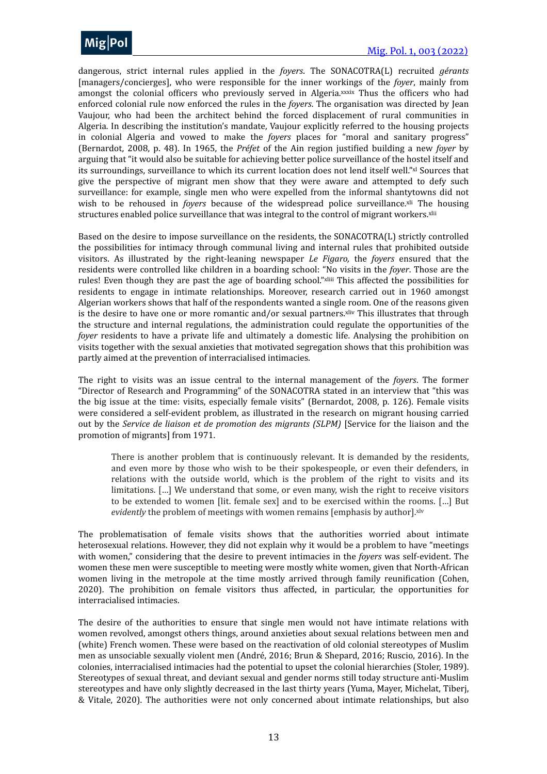

<span id="page-12-0"></span>dangerous, strict internal rules applied in the *foyers*. The SONACOTRA(L) recruited *gérants* [managers/concierges], who were responsible for the inner workings of the *foyer*, mainly from amongst the colonial officers who previously served in Algeria. *[xxxix](#page-21-16)* Thus the officers who had enforced colonial rule now enforced the rules in the *foyers*. The organisation was directed by Jean Vaujour, who had been the architect behind the forced displacement of rural communities in Algeria. In describing the institution's mandate, Vaujour explicitly referred to the housing projects in colonial Algeria and vowed to make the *foyers* places for "moral and sanitary progress" (Bernardot, 2008, p. 48). In 1965, the *Préfet* of the Ain region justified building a new *foyer* by arguing that "it would also be suitable for achieving better police surveillance of the hostel itself and its surroundings, surveillance to which its current location does not lend itself well." [xl](#page-21-17) Sources that give the perspective of migrant men show that they were aware and attempted to defy such surveillance: for example, single men who were expelled from the informal shantytowns did not wish to be rehoused in *foyers* because of the widespread police surveillance. *x*<sup>II</sup> The housing structures enabled police surveillance that was integral to the control of migrant workers.<sup>xlii</sup>

<span id="page-12-4"></span><span id="page-12-3"></span><span id="page-12-2"></span><span id="page-12-1"></span>Based on the desire to impose surveillance on the residents, the SONACOTRA(L) strictly controlled the possibilities for intimacy through communal living and internal rules that prohibited outside visitors. As illustrated by the right-leaning newspaper *Le Figaro*, the *foyers* ensured that the residents were controlled like children in a boarding school: "No visits in the *foyer*. Those are the rules! Even though they are past the age of boarding school." [xliii](#page-22-1) This affected the possibilities for residents to engage in intimate relationships. Moreover, research carried out in 1960 amongst Algerian workers shows that half of the respondents wanted a single room. One of the reasons given is the desire to have one or more romantic and/or sexual partners. *xiv* This illustrates that through the structure and internal regulations, the administration could regulate the opportunities of the *foyer* residents to have a private life and ultimately a domestic life. Analysing the prohibition on visits together with the sexual anxieties that motivated segregation shows that this prohibition was partly aimed at the prevention of interracialised intimacies.

The right to visits was an issue central to the internal management of the *foyers*. The former "Director of Research and Programming" of the SONACOTRA stated in an interview that "this was the big issue at the time: visits, especially female visits" (Bernardot, 2008, p. 126). Female visits were considered a self-evident problem, as illustrated in the research on migrant housing carried out by the *Service de liaison et de promotion des migrants* (SLPM) [Service for the liaison and the promotion of migrants] from 1971.

<span id="page-12-6"></span><span id="page-12-5"></span>There is another problem that is continuously relevant. It is demanded by the residents, and even more by those who wish to be their spokespeople, or even their defenders, in relations with the outside world, which is the problem of the right to visits and its limitations. [...] We understand that some, or even many, wish the right to receive visitors to be extended to women [lit. female sex] and to be exercised within the rooms. [...] But *evidently* the problem of meetings with women remains [emphasis by author].[xlv](#page-22-3)

The problematisation of female visits shows that the authorities worried about intimate heterosexual relations. However, they did not explain why it would be a problem to have "meetings with women," considering that the desire to prevent intimacies in the *foyers* was self-evident. The women these men were susceptible to meeting were mostly white women, given that North-African women living in the metropole at the time mostly arrived through family reunification (Cohen, 2020). The prohibition on female visitors thus affected, in particular, the opportunities for interracialised intimacies.

The desire of the authorities to ensure that single men would not have intimate relations with women revolved, amongst others things, around anxieties about sexual relations between men and (white) French women. These were based on the reactivation of old colonial stereotypes of Muslim men as unsociable sexually violent men (André, 2016; Brun & Shepard, 2016; Ruscio, 2016). In the colonies, interracialised intimacies had the potential to upset the colonial hierarchies (Stoler, 1989). Stereotypes of sexual threat, and deviant sexual and gender norms still today structure anti-Muslim stereotypes and have only slightly decreased in the last thirty years (Yuma, Mayer, Michelat, Tiberj, & Vitale, 2020). The authorities were not only concerned about intimate relationships, but also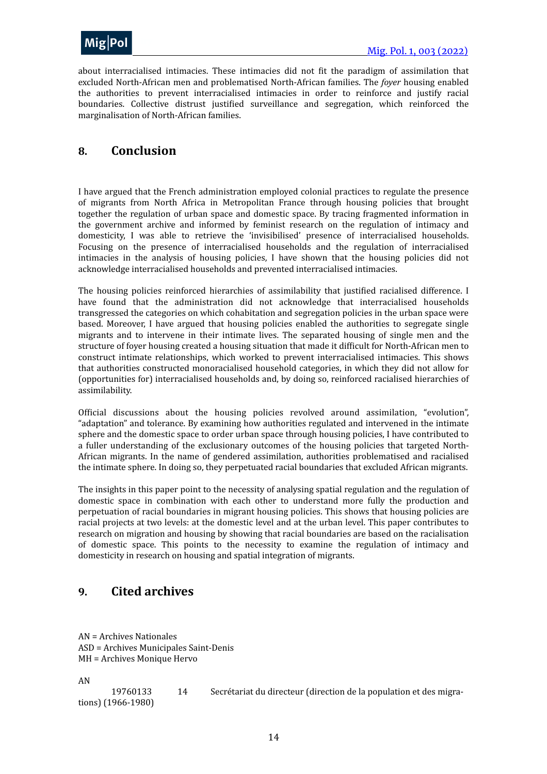

about interracialised intimacies. These intimacies did not fit the paradigm of assimilation that excluded North-African men and problematised North-African families. The *foyer* housing enabled the authorities to prevent interracialised intimacies in order to reinforce and justify racial boundaries. Collective distrust justified surveillance and segregation, which reinforced the marginalisation of North-African families.

### <span id="page-13-0"></span>**8. Conclusion**

I have argued that the French administration employed colonial practices to regulate the presence of migrants from North Africa in Metropolitan France through housing policies that brought together the regulation of urban space and domestic space. By tracing fragmented information in the government archive and informed by feminist research on the regulation of intimacy and domesticity, I was able to retrieve the 'invisibilised' presence of interracialised households. Focusing on the presence of interracialised households and the regulation of interracialised intimacies in the analysis of housing policies, I have shown that the housing policies did not acknowledge interracialised households and prevented interracialised intimacies.

The housing policies reinforced hierarchies of assimilability that justified racialised difference. I have found that the administration did not acknowledge that interracialised households transgressed the categories on which cohabitation and segregation policies in the urban space were based. Moreover, I have argued that housing policies enabled the authorities to segregate single migrants and to intervene in their intimate lives. The separated housing of single men and the structure of foyer housing created a housing situation that made it difficult for North-African men to construct intimate relationships, which worked to prevent interracialised intimacies. This shows that authorities constructed monoracialised household categories, in which they did not allow for (opportunities for) interracialised households and, by doing so, reinforced racialised hierarchies of assimilability.

Official discussions about the housing policies revolved around assimilation, "evolution", "adaptation" and tolerance. By examining how authorities regulated and intervened in the intimate sphere and the domestic space to order urban space through housing policies, I have contributed to a fuller understanding of the exclusionary outcomes of the housing policies that targeted North-African migrants. In the name of gendered assimilation, authorities problematised and racialised the intimate sphere. In doing so, they perpetuated racial boundaries that excluded African migrants.

The insights in this paper point to the necessity of analysing spatial regulation and the regulation of domestic space in combination with each other to understand more fully the production and perpetuation of racial boundaries in migrant housing policies. This shows that housing policies are racial projects at two levels: at the domestic level and at the urban level. This paper contributes to research on migration and housing by showing that racial boundaries are based on the racialisation of domestic space. This points to the necessity to examine the regulation of intimacy and domesticity in research on housing and spatial integration of migrants.

### <span id="page-13-1"></span>**9. Cited archives**

AN = Archives Nationales ASD = Archives Municipales Saint-Denis MH = Archives Monique Hervo

AN

19760133 14 Secrétariat du directeur (direction de la population et des migrations) (1966-1980)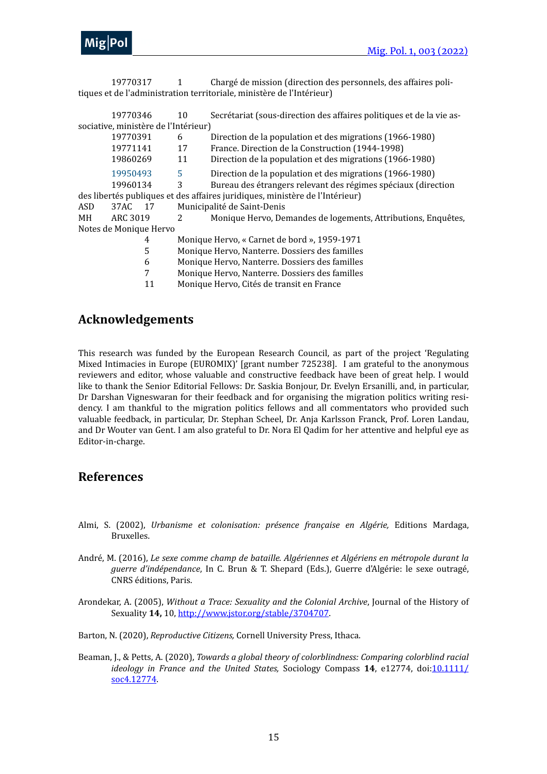19770317 1 Chargé de mission (direction des personnels, des affaires politiques et de l'administration territoriale, ministère de l'Intérieur)

|                                                                              | 19770346   | 10 | Secrétariat (sous-direction des affaires politiques et de la vie as- |  |  |  |
|------------------------------------------------------------------------------|------------|----|----------------------------------------------------------------------|--|--|--|
| sociative, ministère de l'Intérieur)                                         |            |    |                                                                      |  |  |  |
|                                                                              | 19770391   | 6  | Direction de la population et des migrations (1966-1980)             |  |  |  |
|                                                                              | 19771141   | 17 | France. Direction de la Construction (1944-1998)                     |  |  |  |
|                                                                              | 19860269   | 11 | Direction de la population et des migrations (1966-1980)             |  |  |  |
|                                                                              | 19950493   | 5  | Direction de la population et des migrations (1966-1980)             |  |  |  |
|                                                                              | 19960134   | 3  | Bureau des étrangers relevant des régimes spéciaux (direction        |  |  |  |
| des libertés publiques et des affaires juridiques, ministère de l'Intérieur) |            |    |                                                                      |  |  |  |
| ASD                                                                          | 37AC<br>17 |    | Municipalité de Saint-Denis                                          |  |  |  |
| MН                                                                           | ARC 3019   | 2  | Monique Hervo, Demandes de logements, Attributions, Enquêtes,        |  |  |  |
| Notes de Monique Hervo                                                       |            |    |                                                                      |  |  |  |
|                                                                              | 4          |    | Monique Hervo, « Carnet de bord », 1959-1971                         |  |  |  |
|                                                                              | 5          |    | Monique Hervo, Nanterre. Dossiers des familles                       |  |  |  |
|                                                                              | 6          |    | Monique Hervo, Nanterre. Dossiers des familles                       |  |  |  |
|                                                                              |            |    | Monique Hervo, Nanterre. Dossiers des familles                       |  |  |  |

11 Monique Hervo, Cités de transit en France

### **Acknowledgements**

This research was funded by the European Research Council, as part of the project 'Regulating Mixed Intimacies in Europe (EUROMIX)' [grant number 725238]. I am grateful to the anonymous reviewers and editor, whose valuable and constructive feedback have been of great help. I would like to thank the Senior Editorial Fellows: Dr. Saskia Bonjour, Dr. Evelyn Ersanilli, and, in particular, Dr Darshan Vigneswaran for their feedback and for organising the migration politics writing residency. I am thankful to the migration politics fellows and all commentators who provided such valuable feedback, in particular, Dr. Stephan Scheel, Dr. Anja Karlsson Franck, Prof. Loren Landau, and Dr Wouter van Gent. I am also grateful to Dr. Nora El Qadim for her attentive and helpful eye as Editor-in-charge.

### <span id="page-14-0"></span>**References**

- Almi, S. (2002), *Urbanisme et colonisation: présence française en Algérie*, Editions Mardaga, Bruxelles.
- André, M. (2016), *Le sexe comme champ de bataille. Algériennes et Algériens en métropole durant la guerre d'indépendance*, In C. Brun & T. Shepard (Eds.), Guerre d'Algérie: le sexe outragé, CNRS éditions, Paris.
- Arondekar, A. (2005), *Without a Trace: Sexuality and the Colonial Archive*, Journal of the History of Sexuality 14, 10, [http://www.jstor.org/stable/3704707.](http://www.jstor.org/stable/3704707)
- Barton, N. (2020), *Reproductive Citizens*, Cornell University Press, Ithaca.
- Beaman, J., & Petts, A. (2020), *Towards a global theory of colorblindness: Comparing colorblind racial ideology* in France and the United States, Sociology Compass 14, e12774, doi:[10.1111/](https://doi.org/10.1111/soc4.12774) [soc4.12774](https://doi.org/10.1111/soc4.12774).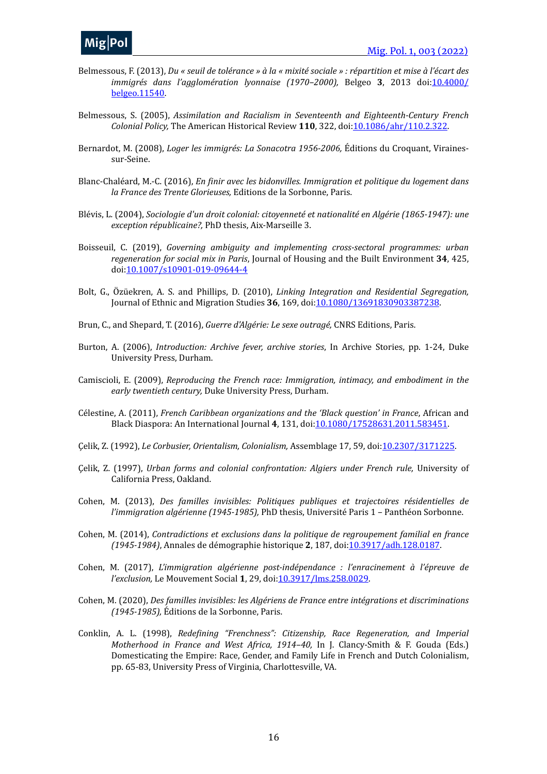- Belmessous, F. (2013), *Du* « seuil de tolérance » à la « mixité sociale » : répartition et mise à l'écart des *immigrés dans l'agglomération lyonnaise (1970–2000),* Belgeo 3, 2013 doi:[10.4000/](https://doi.org/10.4000/belgeo.11540) [belgeo.11540.](https://doi.org/10.4000/belgeo.11540)
- Belmessous, S. (2005), *Assimilation and Racialism in Seventeenth and Eighteenth-Century French Colonial Policy,* The American Historical Review 110, 322, doi[:10.1086/ahr/110.2.322.](https://doi.org/10.1086/ahr/110.2.322)
- Bernardot, M. (2008), *Loger les immigrés: La Sonacotra 1956-2006*, Éditions du Croquant, Virainessur-Seine.
- Blanc-Chaléard, M.-C. (2016), *En finir avec les bidonvilles. Immigration et politique du logement dans la France des Trente Glorieuses,* Editions de la Sorbonne, Paris.
- Blévis, L. (2004), *Sociologie d'un droit colonial: citoyenneté et nationalité en Algérie (1865-1947): une exception républicaine?,* PhD thesis, Aix-Marseille 3.
- Boisseuil, C. (2019), *Governing ambiguity and implementing cross-sectoral programmes: urban regeneration for social mix in Paris*, Journal of Housing and the Built Environment 34, 425, doi[:10.1007/s10901-019-09644-4](https://doi.org/10.1007/s10901-019-09644-4)
- Bolt, G., Özüekren, A. S. and Phillips, D. (2010), *Linking Integration and Residential Segregation*, Journal of Ethnic and Migration Studies 36, 169, doi: [10.1080/13691830903387238.](https://doi.org/10.1007/s10901-019-09644-4)
- Brun, C., and Shepard, T. (2016), *Guerre d'Algérie: Le sexe outragé*, CNRS Editions, Paris.
- Burton, A. (2006), *Introduction: Archive fever, archive stories*, In Archive Stories, pp. 1-24, Duke University Press, Durham.
- Camiscioli, E. (2009), *Reproducing the French race: Immigration, intimacy, and embodiment in the* early twentieth century, Duke University Press, Durham.
- Célestine, A. (2011), *French Caribbean organizations and the 'Black question' in France*, African and Black Diaspora: An International Journal 4, 131, doi: [10.1080/17528631.2011.583451.](https://doi.org/10.1080/17528631.2011.583451)
- Çelik, Z. (1992), *Le Corbusier, Orientalism, Colonialism, Assemblage* 17, 59, doi:[10.2307/3171225.](https://doi.org/10.2307/3171225)
- Çelik, Z. (1997), *Urban forms and colonial confrontation: Algiers under French rule, University of* California Press, Oakland.
- Cohen, M. (2013), *Des familles invisibles: Politiques publiques et trajectoires résidentielles de l'immigration algérienne (1945-1985),* PhD thesis, Université Paris 1 - Panthéon Sorbonne.
- Cohen, M. (2014), *Contradictions et exclusions dans la politique de regroupement familial en france (1945-1984)*, Annales de démographie historique **2**, 187, doi[:10.3917/adh.128.0187](https://doi.org/10.3917/adh.128.0187).
- Cohen, M. (2017), *L'immigration algérienne post-indépendance : l'enracinement à l'épreuve de l'exclusion,* Le Mouvement Social **1**, 29, doi:[10.3917/lms.258.0029.](https://doi.org/10.3917/lms.258.0029)
- Cohen, M. (2020), *Des familles invisibles: les Algériens de France entre intégrations et discriminations (1945-1985),* Éditions de la Sorbonne, Paris.
- Conklin, A. L. (1998), *Redefining "Frenchness": Citizenship, Race Regeneration, and Imperial Motherhood in France and West Africa, 1914–40, In J. Clancy-Smith & F. Gouda (Eds.)* Domesticating the Empire: Race, Gender, and Family Life in French and Dutch Colonialism, pp. 65-83, University Press of Virginia, Charlottesville, VA.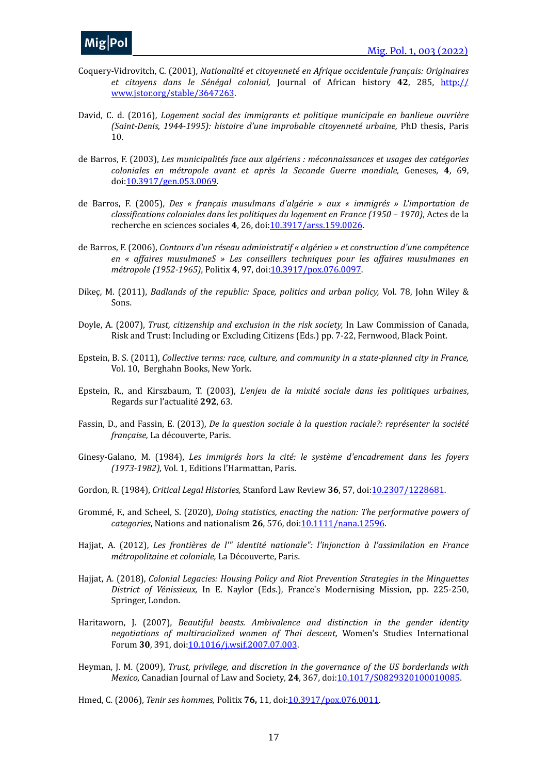- Coquery-Vidrovitch, C. (2001), *Nationalité et citoyenneté en Afrique occidentale français: Originaires* et citoyens dans le Sénégal colonial, Journal of African history 42, 285, [http://](http://www.jstor.org/stable/3647263) [www.jstor.org/stable/3647263.](http://www.jstor.org/stable/3647263)
- David, C. d. (2016), *Logement social des immigrants et politique municipale en banlieue ouvrière (Saint-Denis, 1944-1995): histoire d'une improbable citoyenneté urbaine, PhD thesis, Paris* 10.
- de Barros, F. (2003), *Les municipalités face aux algériens : méconnaissances et usages des catégories coloniales en métropole avant et après la Seconde Guerre mondiale,* Geneses*,*  **4**, 69, doi[:10.3917/gen.053.0069.](https://doi.org/10.3917/gen.053.0069)
- de Barros, F. (2005), *Des* « français musulmans d'algérie » aux « immigrés » L'importation de *classifications coloniales dans les politiques du logement en France (1950 – 1970)*, Actes de la recherche en sciences sociales 4, 26, doi: [10.3917/arss.159.0026](https://doi.org/10.3917/arss.159.0026).
- de Barros, F. (2006), *Contours d'un réseau administratif* « algérien » et construction d'une compétence *en* « affaires musulmaneS » Les conseillers techniques pour les affaires musulmanes en *métropole (1952-1965)*, Politix **4**, 97, doi[:10.3917/pox.076.0097.](https://doi.org/10.3917/pox.076.0097)
- Dikeç, M. (2011), *Badlands of the republic: Space, politics and urban policy, Vol. 78*, John Wiley & Sons.
- Doyle, A. (2007), *Trust, citizenship and exclusion in the risk society*, In Law Commission of Canada, Risk and Trust: Including or Excluding Citizens (Eds.) pp. 7-22, Fernwood, Black Point.
- Epstein, B. S. (2011), *Collective terms: race, culture, and community in a state-planned city in France,* Vol. 10, Berghahn Books, New York.
- Epstein, R., and Kirszbaum, T. (2003), *L'enjeu de la mixité sociale dans les politiques urbaines*, Regards sur l'actualité**292**, 63.
- Fassin, D., and Fassin, E. (2013), *De la question sociale à la question raciale?: représenter la société française,* La découverte, Paris.
- Ginesy-Galano, M. (1984), Les immigrés hors la cité: le système d'encadrement dans les foyers *(1973-1982)*, Vol. 1, Editions l'Harmattan, Paris.
- Gordon, R. (1984), *Critical Legal Histories*, Stanford Law Review 36, 57, doi[:10.2307/1228681](https://doi.org/10.2307/1228681).
- Grommé, F., and Scheel, S. (2020), *Doing statistics, enacting the nation: The performative powers of categories*, Nations and nationalism 26, 576, doi: [10.1111/nana.12596](https://doi.org/10.1111/nana.12596).
- Hajjat, A. (2012), *Les frontières de l'" identité nationale": l'injonction à l'assimilation en France métropolitaine et coloniale,* La Découverte, Paris.
- Hajjat, A. (2018), *Colonial Legacies: Housing Policy and Riot Prevention Strategies in the Minguettes District of Vénissieux,* In E. Naylor (Eds.), France's Modernising Mission, pp. 225-250, Springer, London.
- Haritaworn, J. (2007), *Beautiful beasts. Ambivalence and distinction in the gender identity* negotiations of multiracialized women of Thai descent, Women's Studies International Forum 30, 391, doi: [10.1016/j.wsif.2007.07.003](https://doi.org/10.1016/j.wsif.2007.07.003).
- Heyman, J. M. (2009), *Trust, privilege, and discretion in the governance of the US borderlands with Mexico,* Canadian Journal of Law and Society, **24**, 367, doi:[10.1017/S0829320100010085](https://doi.org/10.1017/S0829320100010085).

Hmed, C. (2006), *Tenir ses hommes*, Politix **76**, 11, doi: 10.3917/pox.076.0011.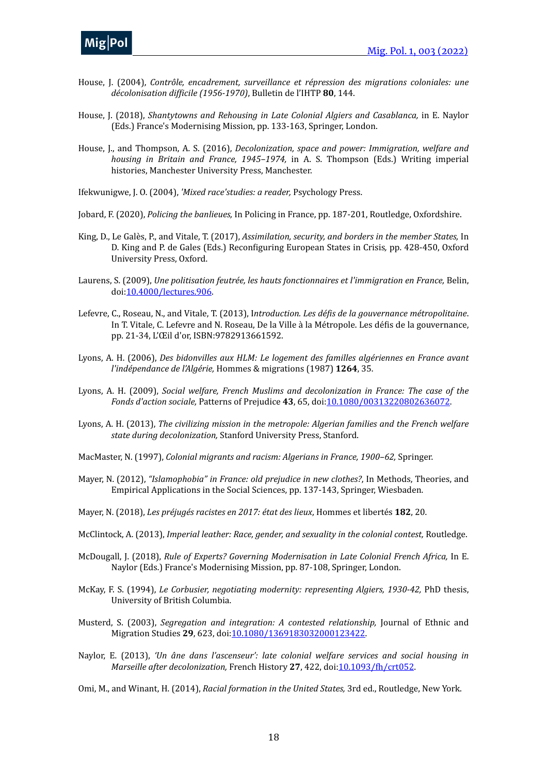- House, J. (2004), *Contrôle, encadrement, surveillance et répression des migrations coloniales: une décolonisation difficile (1956-1970)*, Bulletin de l'IHTP **80**, 144.
- House, J. (2018), *Shantytowns and Rehousing in Late Colonial Algiers and Casablanca, in E. Naylor* (Eds.) France's Modernising Mission, pp. 133-163, Springer, London.
- House, J., and Thompson, A. S. (2016), *Decolonization, space and power: Immigration, welfare and housing in Britain and France, 1945–1974,* in A. S. Thompson (Eds.) Writing imperial histories, Manchester University Press, Manchester.
- Ifekwunigwe, J. O. (2004), 'Mixed race'studies: a reader, Psychology Press.
- Jobard, F. (2020), *Policing the banlieues*, In Policing in France, pp. 187-201, Routledge, Oxfordshire.
- King, D., Le Galès, P., and Vitale, T. (2017), *Assimilation, security, and borders in the member States, In* D. King and P. de Gales (Eds.) Reconfiguring European States in Crisis, pp. 428-450, Oxford University Press, Oxford.
- Laurens, S. (2009), *Une politisation feutrée, les hauts fonctionnaires et l'immigration en France, Belin,* doi[:10.4000/lectures.906](https://doi.org/10.4000/lectures.906).
- Lefevre, C., Roseau, N., and Vitale, T. (2013), Introduction. Les défis de la gouvernance métropolitaine. In T. Vitale, C. Lefevre and N. Roseau, De la Ville à la Métropole. Les défis de la gouvernance, pp. 21-34, L'Œil d'or, ISBN:9782913661592.
- Lyons, A. H. (2006), *Des bidonvilles aux HLM: Le logement des familles algériennes en France avant l'indépendance de l'Algérie,* Hommes & migrations (1987) **1264**, 35.
- Lyons, A. H. (2009), *Social welfare, French Muslims and decolonization in France: The case of the Fonds d'action sociale,* Patterns of Prejudice **43**, 65, doi[:10.1080/00313220802636072](https://doi.org/10.1080/00313220802636072).
- Lyons, A. H. (2013), *The civilizing mission in the metropole: Algerian families and the French welfare* state during decolonization, Stanford University Press, Stanford.
- MacMaster, N. (1997), *Colonial migrants and racism: Algerians in France, 1900-62, Springer.*
- Mayer, N. (2012), *"Islamophobia" in France: old prejudice in new clothes?*, In Methods, Theories, and Empirical Applications in the Social Sciences, pp. 137-143, Springer, Wiesbaden.
- Mayer, N. (2018), *Les préjugés racistes en 2017: état des lieux*, Hommes et libertés 182, 20.
- McClintock, A. (2013), *Imperial leather: Race, gender, and sexuality in the colonial contest*, Routledge.
- McDougall, J. (2018), *Rule of Experts? Governing Modernisation in Late Colonial French Africa, In E.* Naylor (Eds.) France's Modernising Mission, pp. 87-108, Springer, London.
- McKay, F. S. (1994), *Le Corbusier, negotiating modernity: representing Algiers, 1930-42, PhD thesis,* University of British Columbia.
- Musterd, S. (2003), *Segregation and integration: A contested relationship*, Journal of Ethnic and Migration Studies 29, 623, doi:[10.1080/1369183032000123422](https://doi.org/10.1080/1369183032000123422).
- Naylor, E. (2013), *'Un âne dans l'ascenseur': late colonial welfare services and social housing in Marseille after decolonization,* French History 27, 422, doi: 10.1093/fh/crt052.
- Omi, M., and Winant, H. (2014), *Racial formation in the United States*, 3rd ed., Routledge, New York.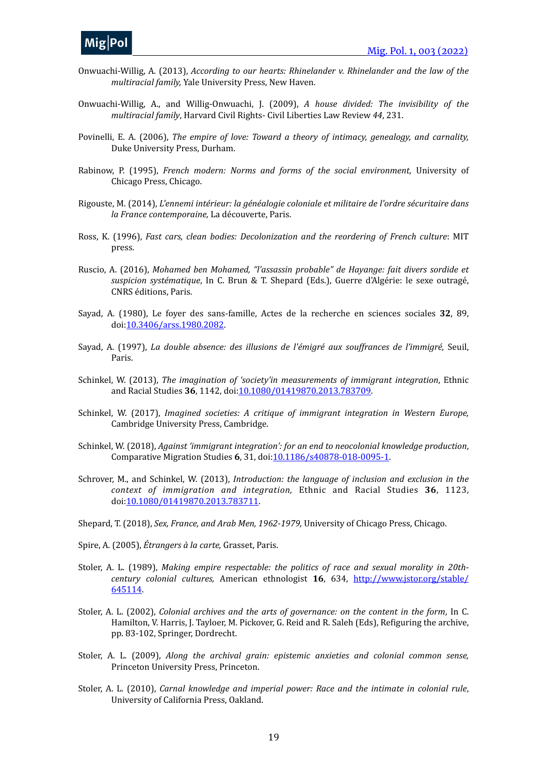- Onwuachi-Willig, A. (2013), *According to our hearts: Rhinelander v. Rhinelander and the law of the multiracial family, Yale University Press, New Haven.*
- Onwuachi-Willig, A., and Willig-Onwuachi, J. (2009), *A house divided: The invisibility of the multiracial family*, Harvard Civil Rights- Civil Liberties Law Review 44, 231.
- Povinelli, E. A. (2006), *The empire of love: Toward a theory of intimacy, genealogy, and carnality,* Duke University Press, Durham.
- Rabinow, P. (1995), *French modern: Norms and forms of the social environment*, University of Chicago Press, Chicago.
- Rigouste, M. (2014), *L'ennemi intérieur: la généalogie coloniale et militaire de l'ordre sécuritaire dans* la France contemporaine, La découverte, Paris.
- Ross, K. (1996), Fast cars, clean bodies: Decolonization and the reordering of French culture: MIT press.
- Ruscio, A. (2016), Mohamed ben Mohamed, "l'assassin probable" de Hayange: fait divers sordide et *suspicion systématique*, In C. Brun & T. Shepard (Eds.), Guerre d'Algérie: le sexe outragé, CNRS éditions, Paris.
- Sayad, A. (1980), Le foyer des sans-famille, Actes de la recherche en sciences sociales 32, 89, doi[:10.3406/arss.1980.2082.](https://doi.org/10.3406/arss.1980.2082)
- Sayad, A. (1997), *La double absence: des illusions de l'émigré aux souffrances de l'immigré*, Seuil, Paris.
- Schinkel, W. (2013), *The imagination of 'society'in measurements of immigrant integration*, Ethnic and Racial Studies 36, 1142, doi: [10.1080/01419870.2013.783709.](https://doi.org/10.1080/01419870.2013.783709)
- Schinkel, W. (2017), *Imagined societies: A critique of immigrant integration in Western Europe,* Cambridge University Press, Cambridge.
- Schinkel, W. (2018), *Against 'immigrant integration': for an end to neocolonial knowledge production*, Comparative Migration Studies 6, 31, doi:[10.1186/s40878-018-0095-1](https://doi.org/10.1186/s40878-018-0095-1).
- Schrover, M., and Schinkel, W. (2013), *Introduction: the language of inclusion and exclusion in the context of immigration and integration*, Ethnic and Racial Studies 36, 1123, doi[:10.1080/01419870.2013.783711](https://doi.org/10.1080/01419870.2013.783711).
- Shepard, T. (2018), Sex, France, and Arab Men, 1962-1979, University of Chicago Press, Chicago.
- Spire, A. (2005), *Étrangers à la carte*, Grasset, Paris.
- Stoler, A. L. (1989), *Making empire respectable: the politics of race and sexual morality in 20thcentury* colonial cultures, American ethnologist 16, 634, [http://www.jstor.org/stable/](http://www.jstor.org/stable/645114) [645114](http://www.jstor.org/stable/645114).
- Stoler, A. L. (2002), *Colonial archives and the arts of governance:* on the content in the form, In C. Hamilton, V. Harris, J. Tayloer, M. Pickover, G. Reid and R. Saleh (Eds), Refiguring the archive, pp. 83-102, Springer, Dordrecht.
- Stoler, A. L. (2009), *Along the archival grain: epistemic anxieties and colonial common sense,* Princeton University Press, Princeton.
- Stoler, A. L. (2010), *Carnal knowledge and imperial power: Race and the intimate in colonial rule*, University of California Press, Oakland.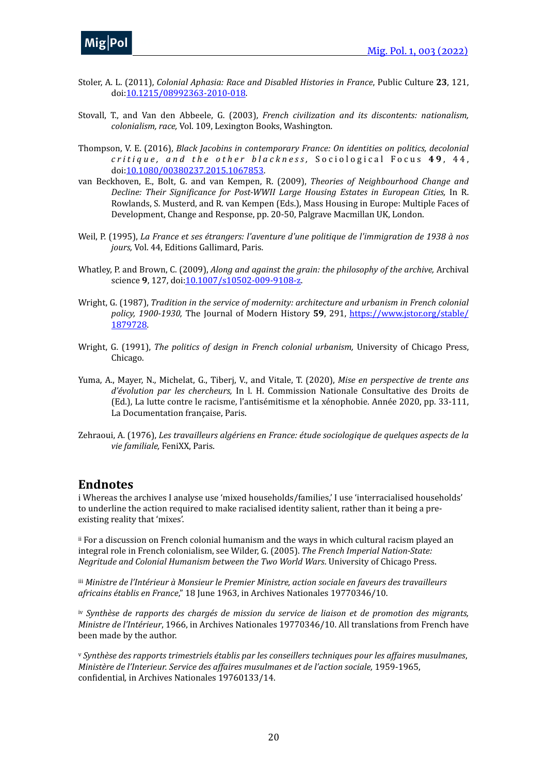- Stoler, A. L. (2011), *Colonial Aphasia: Race and Disabled Histories in France*, Public Culture 23, 121, doi[:10.1215/08992363-2010-018](https://doi.org/10.1215/08992363-2010-018).
- Stovall, T., and Van den Abbeele, G. (2003), *French civilization and its discontents: nationalism, colonialism, race, Vol. 109, Lexington Books, Washington.*
- Thompson, V. E. (2016), *Black Jacobins in contemporary France: On identities on politics, decolonial critique, and the other blackness,* Sociological Focus 49, 44, doi[:10.1080/00380237.2015.1067853.](https://doi.org/10.1080/00380237.2015.1067853)
- van Beckhoven, E., Bolt, G. and van Kempen, R. (2009), *Theories of Neighbourhood Change and Decline: Their Significance for Post-WWII Large Housing Estates in European Cities, In R.* Rowlands, S. Musterd, and R. van Kempen (Eds.), Mass Housing in Europe: Multiple Faces of Development, Change and Response, pp. 20-50, Palgrave Macmillan UK, London.
- Weil, P. (1995), *La France et ses étrangers: l'aventure d'une politique de l'immigration de 1938 à nos* jours, Vol. 44, Editions Gallimard, Paris.
- Whatley, P. and Brown, C. (2009), *Along and against the grain: the philosophy of the archive, Archival* science 9, 127, doi: [10.1007/s10502-009-9108-z](https://doi.org/10.1007/s10502-009-9108-z).
- Wright, G. (1987), *Tradition in the service of modernity: architecture and urbanism in French colonial policy, 1900-1930,* The Journal of Modern History 59, 291, [https://www.jstor.org/stable/](https://www.jstor.org/stable/1879728) [1879728.](https://www.jstor.org/stable/1879728)
- Wright, G. (1991), *The politics of design in French colonial urbanism*, University of Chicago Press, Chicago.
- Yuma, A., Mayer, N., Michelat, G., Tiberj, V., and Vitale, T. (2020), *Mise en perspective de trente ans d'évolution par les chercheurs, In l. H. Commission Nationale Consultative des Droits de* (Ed.), La lutte contre le racisme, l'antisémitisme et la xénophobie. Année 2020, pp. 33-111, La Documentation française, Paris.
- Zehraoui, A. (1976), *Les travailleurs algériens en France: étude sociologique de quelques aspects de la vie familiale,* FeniXX, Paris.

### **Endnotes**

<span id="page-19-0"></span>i Whereas the archives I analyse use 'mixed households/families,' I use 'interracialised households' to underline the action required to make racialised identity salient, rather than it being a preexisting reality that 'mixes'.

<span id="page-19-1"></span>[ii](#page-5-1) For a discussion on French colonial humanism and the ways in which cultural racism played an integral role in French colonialism, see Wilder, G. (2005). *The French Imperial Nation-State: Negritude and Colonial Humanism between the Two World Wars*. University of Chicago Press.

<span id="page-19-2"></span>*III Ministre de l'Intérieur à Monsieur le Premier Ministre, action sociale en faveurs des travailleurs africains établis en France*," 18 June 1963, in Archives Nationales 19770346/10.

<span id="page-19-3"></span>*[iv](#page-6-0)* Synthèse de rapports des chargés de mission du service de liaison et de promotion des migrants, *Ministre de l'Intérieur*, 1966, in Archives Nationales 19770346/10. All translations from French have been made by the author.

<span id="page-19-4"></span>*Synthèse des rapports trimestriels établis par les conseillers techniques pour les affaires musulmanes*, [v](#page-6-1) *Ministère de l'Interieur. Service des affaires musulmanes et de l'action sociale, 1959-1965,* confidential, in Archives Nationales 19760133/14.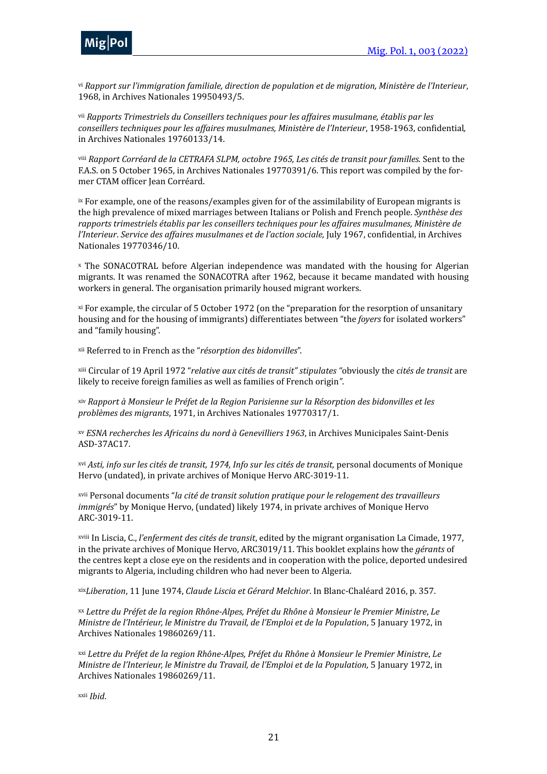

<span id="page-20-0"></span><sup>[vi](#page-6-2)</sup> Rapport sur l'immigration familiale, direction de population et de migration, Ministère de l'Interieur, 1968, in Archives Nationales 19950493/5.

<span id="page-20-1"></span><sup>[vii](#page-6-3)</sup> Rapports Trimestriels du Conseillers techniques pour les affaires musulmane, établis par les conseillers techniques pour les affaires musulmanes, Ministère de l'Interieur, 1958-1963, confidential, in Archives Nationales 19760133/14.

<span id="page-20-2"></span><sup>[viii](#page-6-4)</sup> Rapport Corréard de la CETRAFA SLPM, octobre 1965, Les cités de transit pour familles. Sent to the F.A.S. on 5 October 1965, in Archives Nationales 19770391/6. This report was compiled by the former CTAM officer Jean Corréard.

<span id="page-20-3"></span> $i x$  For example, one of the reasons/examples given for of the assimilability of European migrants is the high prevalence of mixed marriages between Italians or Polish and French people. Synthèse des rapports trimestriels établis par les conseillers techniques pour les affaires musulmanes, Ministère de *l'Interieur*. Service des affaires musulmanes et de l'action sociale, July 1967, confidential, in Archives Nationales 19770346/10.

<span id="page-20-4"></span>[x](#page-7-1) The SONACOTRAL before Algerian independence was mandated with the housing for Algerian migrants. It was renamed the SONACOTRA after 1962, because it became mandated with housing workers in general. The organisation primarily housed migrant workers.

<span id="page-20-5"></span>[xi](#page-7-2) For example, the circular of 5 October 1972 (on the "preparation for the resorption of unsanitary housing and for the housing of immigrants) differentiates between "the *foyers* for isolated workers" and "family housing".

<span id="page-20-6"></span>[xii](#page-7-3) Referred to in French as the "*résorption des bidonvilles*".

<span id="page-20-7"></span><sup>[xiii](#page-7-4)</sup> Circular of 19 April 1972 "*relative aux cités de transit" stipulates* "obviously the *cités de transit* are likely to receive foreign families as well as families of French origin<sup>"</sup>.

<span id="page-20-8"></span>*Rapport à Monsieur le Préfet de la Region Parisienne sur la Résorption des bidonvilles et les*  [xiv](#page-7-5) problèmes des migrants, 1971, in Archives Nationales 19770317/1.

<span id="page-20-9"></span>*ESNA recherches les Africains du nord à Genevilliers 1963*, in Archives Municipales Saint-Denis [xv](#page-7-6) ASD-37AC17. 

<span id="page-20-10"></span><sup>*[xvi](#page-7-7) Asti, info sur les cités de transit, 1974, Info sur les cités de transit, personal documents of Monique*</sup> Hervo (undated), in private archives of Monique Hervo ARC-3019-11.

<span id="page-20-11"></span>*[xvii](#page-7-8)* Personal documents "*la cité de transit solution pratique pour le relogement des travailleurs immigrés"* by Monique Hervo, (undated) likely 1974, in private archives of Monique Hervo ARC-3019-11.

<span id="page-20-12"></span>[xviii](#page-8-1) In Liscia, C., *l'enferment des cités de transit*, edited by the migrant organisation La Cimade, 1977, in the private archives of Monique Hervo, ARC3019/11. This booklet explains how the *gérants* of the centres kept a close eye on the residents and in cooperation with the police, deported undesired migrants to Algeria, including children who had never been to Algeria.

<span id="page-20-13"></span>[xix](#page-8-2)Liberation, 11 June 1974, *Claude Liscia et Gérard Melchior*. In Blanc-Chaléard 2016, p. 357.

<span id="page-20-14"></span>*Lettre du Préfet de la region Rhône-Alpes, Préfet du Rhône à Monsieur le Premier Ministre*, *Le*  [xx](#page-8-3) *Ministre de l'Intérieur, le Ministre du Travail, de l'Emploi et de la Population,* 5 January 1972, in Archives Nationales 19860269/11.

<span id="page-20-15"></span>*Lettre du Préfet de la region Rhône-Alpes, Préfet du Rhône à Monsieur le Premier Ministre*, *Le*  [xxi](#page-8-4) *Ministre de l'Interieur, le Ministre du Travail, de l'Emploi et de la Population,* 5 January 1972, in Archives Nationales 19860269/11.

<span id="page-20-16"></span>*Ibid*. [xxii](#page-8-5)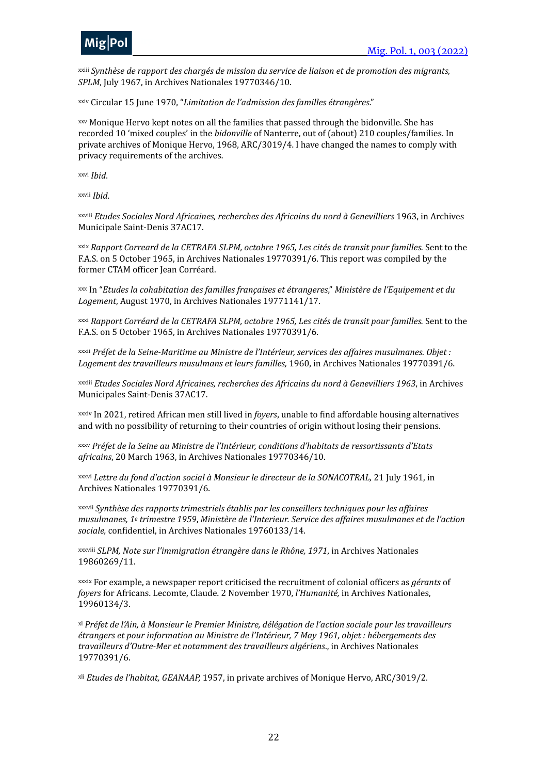

<span id="page-21-0"></span>*Synthèse de rapport des chargés de mission du service de liaison et de promotion des migrants,*  [xxiii](#page-8-6) *SPLM*, July 1967, in Archives Nationales 19770346/10.

<span id="page-21-1"></span>[xxiv](#page-8-7) Circular 15 June 1970, "Limitation de l'admission des familles étrangères."

<span id="page-21-2"></span>[xxv](#page-9-0) Monique Hervo kept notes on all the families that passed through the bidonville. She has recorded 10 'mixed couples' in the *bidonville* of Nanterre, out of (about) 210 couples/families. In private archives of Monique Hervo, 1968, ARC/3019/4. I have changed the names to comply with privacy requirements of the archives.

<span id="page-21-3"></span>*Ibid*. [xxvi](#page-9-1)

<span id="page-21-4"></span>[xxvii](#page-9-2) *Ibid*.

<span id="page-21-5"></span>*Etudes Sociales Nord Africaines, recherches des Africains du nord à Genevilliers* 1963, in Archives [xxviii](#page-9-3) Municipale Saint-Denis 37AC17.

<span id="page-21-6"></span>*Rapport Correard de la CETRAFA SLPM, octobre 1965, Les cités de transit pour familles.* Sent to the [xxix](#page-9-4) F.A.S. on 5 October 1965, in Archives Nationales 19770391/6. This report was compiled by the former CTAM officer Jean Corréard.

<span id="page-21-7"></span>[xxx](#page-9-5) In "*Etudes la cohabitation des familles françaises et étrangeres*," Ministère de l'Equipement et du Logement, August 1970, in Archives Nationales 19771141/17.

<span id="page-21-8"></span>*Rapport Corréard de la CETRAFA SLPM, octobre 1965, Les cités de transit pour familles.* Sent to the [xxxi](#page-9-6) F.A.S. on 5 October 1965, in Archives Nationales 19770391/6.

<span id="page-21-9"></span><sup>[xxxii](#page-10-1)</sup> Préfet de la Seine-Maritime au Ministre de l'Intérieur, services des affaires musulmanes. Objet : Logement des travailleurs musulmans et leurs familles, 1960, in Archives Nationales 19770391/6.

<span id="page-21-10"></span>*Etudes Sociales Nord Africaines, recherches des Africains du nord à Genevilliers 1963*, in Archives [xxxiii](#page-10-2) Municipales Saint-Denis 37AC17.

<span id="page-21-11"></span>[xxxiv](#page-11-0) In 2021, retired African men still lived in *foyers*, unable to find affordable housing alternatives and with no possibility of returning to their countries of origin without losing their pensions.

<span id="page-21-12"></span>*Préfet de la Seine au Ministre de l'Intérieur, conditions d'habitats de ressortissants d'Etats* africains, 20 March 1963, in Archives Nationales 19770346/10.

<span id="page-21-13"></span>[xxxvi](#page-11-2) Lettre du fond d'action social à Monsieur le directeur de la SONACOTRAL, 21 July 1961, in Archives Nationales 19770391/6.

<span id="page-21-14"></span>*Synthèse des rapports trimestriels établis par les conseillers techniques pour les affaires*  [xxxvii](#page-11-3) *musulmanes, 1<sup>e</sup> trimestre 1959, Ministère de l'Interieur. Service des affaires musulmanes et de l'action* sociale, confidentiel, in Archives Nationales 19760133/14.

<span id="page-21-15"></span>[xxxviii](#page-11-4) SLPM, Note sur l'immigration étrangère dans le Rhône, 1971, in Archives Nationales 19860269/11.

<span id="page-21-16"></span>[xxxix](#page-12-0) For example, a newspaper report criticised the recruitment of colonial officers as *gérants* of *foyers* for Africans. Lecomte, Claude. 2 November 1970, *l'Humanité*, in Archives Nationales, 19960134/3.

<span id="page-21-17"></span>*Préfet de l'Ain, à Monsieur le Premier Ministre, délégation de l'action sociale pour les travailleurs*  [xl](#page-12-1) *étrangers* et pour information au Ministre de l'Intérieur, 7 May 1961, objet : hébergements des travailleurs d'Outre-Mer et notamment des travailleurs algériens., in Archives Nationales 19770391/6.

<span id="page-21-18"></span><sup>[xli](#page-12-2)</sup> Etudes de l'habitat, GEANAAP, 1957, in private archives of Monique Hervo, ARC/3019/2.